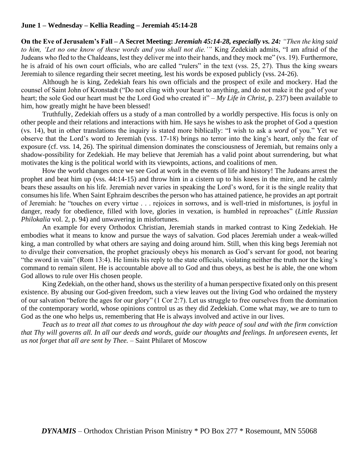# **June 1 – Wednesday – Kellia Reading – Jeremiah 45:14-28**

**On the Eve of Jerusalem's Fall – A Secret Meeting:** *Jeremiah 45:14-28, especially vs. 24: "Then the king said to him, 'Let no one know of these words and you shall not die.'"* King Zedekiah admits, "I am afraid of the Judeans who fled to the Chaldeans, lest they deliver me into their hands, and they mock me" (vs. 19). Furthermore, he is afraid of his own court officials, who are called "rulers" in the text (vss. 25, 27). Thus the king swears Jeremiah to silence regarding their secret meeting, lest his words be exposed publicly (vss. 24-26).

Although he is king, Zedekiah fears his own officials and the prospect of exile and mockery. Had the counsel of Saint John of Kronstadt ("Do not cling with your heart to anything, and do not make it the god of your heart; the sole God our heart must be the Lord God who created it" – *My Life in Christ*, p. 237) been available to him, how greatly might he have been blessed!

Truthfully, Zedekiah offers us a study of a man controlled by a worldly perspective. His focus is only on other people and their relations and interactions with him. He says he wishes to ask the prophet of God a question (vs. 14), but in other translations the inquiry is stated more biblically: "I wish to ask a *word* of you." Yet we observe that the Lord's word to Jeremiah (vss. 17-18) brings no terror into the king's heart, only the fear of exposure (cf. vss. 14, 26). The spiritual dimension dominates the consciousness of Jeremiah, but remains only a shadow-possibility for Zedekiah. He may believe that Jeremiah has a valid point about surrendering, but what motivates the king is the political world with its viewpoints, actions, and coalitions of men.

How the world changes once we see God at work in the events of life and history! The Judeans arrest the prophet and beat him up (vss. 44:14-15) and throw him in a cistern up to his knees in the mire, and he calmly bears these assaults on his life. Jeremiah never varies in speaking the Lord's word, for it is the single reality that consumes his life. When Saint Ephraim describes the person who has attained patience, he provides an apt portrait of Jeremiah: he "touches on every virtue . . . rejoices in sorrows, and is well-tried in misfortunes, is joyful in danger, ready for obedience, filled with love, glories in vexation, is humbled in reproaches" (*Little Russian Philokalia* vol. 2, p. 94) and unwavering in misfortunes.

An example for every Orthodox Christian, Jeremiah stands in marked contrast to King Zedekiah. He embodies what it means to know and pursue the ways of salvation. God places Jeremiah under a weak-willed king, a man controlled by what others are saying and doing around him. Still, when this king begs Jeremiah not to divulge their conversation, the prophet graciously obeys his monarch as God's servant for good, not bearing "the sword in vain" (Rom 13:4). He limits his reply to the state officials, violating neither the truth nor the king's command to remain silent. He is accountable above all to God and thus obeys, as best he is able, the one whom God allows to rule over His chosen people.

King Zedekiah, on the other hand, shows us the sterility of a human perspective fixated only on this present existence. By abusing our God-given freedom, such a view leaves out the living God who ordained the mystery of our salvation "before the ages for our glory" (1 Cor 2:7). Let us struggle to free ourselves from the domination of the contemporary world, whose opinions control us as they did Zedekiah. Come what may, we are to turn to God as the one who helps us, remembering that He is always involved and active in our lives.

*Teach us to treat all that comes to us throughout the day with peace of soul and with the firm conviction that Thy will governs all. In all our deeds and words, guide our thoughts and feelings. In unforeseen events, let us not forget that all are sent by Thee.* – Saint Philaret of Moscow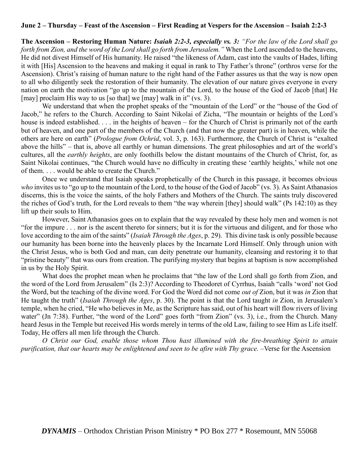### **June 2 – Thursday – Feast of the Ascension – First Reading at Vespers for the Ascension – Isaiah 2:2-3**

**The Ascension – Restoring Human Nature:** *Isaiah 2:2-3, especially vs. 3: "For the law of the Lord shall go forth from Zion, and the word of the Lord shall go forth from Jerusalem."* When the Lord ascended to the heavens, He did not divest Himself of His humanity. He raised "the likeness of Adam, cast into the vaults of Hades, lifting it with [His] Ascension to the heavens and making it equal in rank to Thy Father's throne" (orthros verse for the Ascension). Christ's raising of human nature to the right hand of the Father assures us that the way is now open to all who diligently seek the restoration of their humanity. The elevation of our nature gives everyone in every nation on earth the motivation "go up to the mountain of the Lord, to the house of the God of Jacob [that] He [may] proclaim His way to us [so that] we [may] walk in it" (vs. 3).

We understand that when the prophet speaks of the "mountain of the Lord" or the "house of the God of Jacob," he refers to the Church. According to Saint Nikolai of Zicha, "The mountain or heights of the Lord's house is indeed established. . . . in the heights of heaven – for the Church of Christ is primarily not of the earth but of heaven, and one part of the members of the Church (and that now the greater part) is in heaven, while the others are here on earth" (*Prologue from Ochrid*, vol. 3, p. 163). Furthermore, the Church of Christ is "exalted above the hills" – that is, above all earthly or human dimensions. The great philosophies and art of the world's cultures, all the *earthly heights*, are only foothills below the distant mountains of the Church of Christ, for, as Saint Nikolai continues, "the Church would have no difficulty in creating these 'earthly heights,' while not one of them. . . . would be able to create the Church."

Once we understand that Isaiah speaks prophetically of the Church in this passage, it becomes obvious *who* invites us to "go up to the mountain of the Lord, to the house of the God of Jacob" (vs. 3). As Saint Athanasios discerns, this is the voice the saints, of the holy Fathers and Mothers of the Church. The saints truly discovered the riches of God's truth, for the Lord reveals to them "the way wherein [they] should walk" (Ps 142:10) as they lift up their souls to Him.

However, Saint Athanasios goes on to explain that the way revealed by these holy men and women is not "for the impure . . . nor is the ascent thereto for sinners; but it is for the virtuous and diligent, and for those who love according to the aim of the saints" (*Isaiah Through the Ages*, p. 29). This divine task is only possible because our humanity has been borne into the heavenly places by the Incarnate Lord Himself. Only through union with the Christ Jesus, who is both God and man, can deity penetrate our humanity, cleansing and restoring it to that "pristine beauty" that was ours from creation. The purifying mystery that begins at baptism is now accomplished in us by the Holy Spirit.

What does the prophet mean when he proclaims that "the law of the Lord shall go forth from Zion, and the word of the Lord from Jerusalem" (Is 2:3)? According to Theodoret of Cyrrhus, Isaiah "calls 'word' not God the Word, but the teaching of the divine word. For God the Word did not come *out of* Zion, but it was *in* Zion that He taught the truth" (*Isaiah Through the Ages*, p. 30). The point is that the Lord taught *in* Zion, in Jerusalem's temple, when he cried, "He who believes in Me, as the Scripture has said, out of his heart will flow rivers of living water" (Jn 7:38). Further, "the word of the Lord" goes forth "from Zion" (vs. 3), i.e., from the Church. Many heard Jesus in the Temple but received His words merely in terms of the old Law, failing to see Him as Life itself. Today, He offers all men life through the Church.

*O Christ our God, enable those whom Thou hast illumined with the fire-breathing Spirit to attain purification, that our hearts may be enlightened and seen to be afire with Thy grace.* –Verse for the Ascension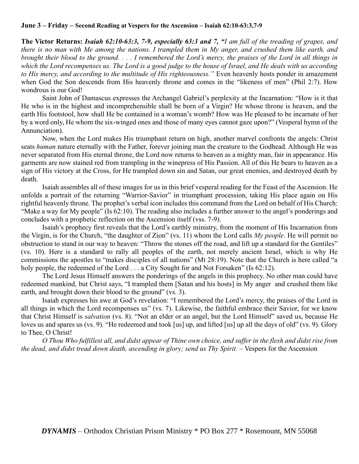#### **June 3 – Friday – Second Reading at Vespers for the Ascension – Isaiah 62:10-63:3,7-9**

**The Victor Returns:** *Isaiah 62:10-63:3, 7-9, especially 63:3 and 7, "I am full of the treading of grapes, and there is no man with Me among the nations. I trampled them in My anger, and crushed them like earth, and brought their blood to the ground. . . . I remembered the Lord's mercy, the praises of the Lord in all things in which the Lord recompenses us. The Lord is a good judge to the house of Israel, and He deals with us according to His mercy, and according to the multitude of His righteousness."* Even heavenly hosts ponder in amazement when God the Son descends from His heavenly throne and comes in the "likeness of men" (Phil 2:7). How wondrous is our God!

Saint John of Damascus expresses the Archangel Gabriel's perplexity at the Incarnation: "How is it that He who is in the highest and incomprehensible shall be born of a Virgin? He whose throne is heaven, and the earth His footstool, how shall He be contained in a woman's womb? How was He pleased to be incarnate of her by a word only, He whom the six-winged ones and those of many eyes cannot gaze upon?" (Vesperal hymn of the Annunciation).

Now, when the Lord makes His triumphant return on high, another marvel confronts the angels: Christ seats *human* nature eternally with the Father, forever joining man the creature to the Godhead. Although He was never separated from His eternal throne, the Lord now returns to heaven as a mighty man, fair in appearance. His garments are now stained red from trampling in the winepress of His Passion. All of this He bears to heaven as a sign of His victory at the Cross, for He trampled down sin and Satan, our great enemies, and destroyed death by death.

Isaiah assembles all of these images for us in this brief vesperal reading for the Feast of the Ascension. He unfolds a portrait of the returning "Warrior-Savior" in triumphant procession, taking His place again on His rightful heavenly throne. The prophet's verbal icon includes this command from the Lord on behalf of His Church: "Make a way for My people" (Is 62:10). The reading also includes a further answer to the angel's ponderings and concludes with a prophetic reflection on the Ascension itself (vss. 7-9).

Isaiah's prophecy first reveals that the Lord's earthly ministry, from the moment of His Incarnation from the Virgin, is for the Church, "the daughter of Zion" (vs. 11) whom the Lord calls *My people*. He will permit no obstruction to stand in our way to heaven: "Throw the stones off the road, and lift up a standard for the Gentiles" (vs. 10). Here is a standard to rally all peoples of the earth, not merely ancient Israel, which is why He commissions the apostles to "makes disciples of all nations" (Mt 28:19). Note that the Church is here called "a holy people, the redeemed of the Lord . . . a City Sought for and Not Forsaken" (Is 62:12).

The Lord Jesus Himself answers the ponderings of the angels in this prophecy. No other man could have redeemed mankind, but Christ says, "I trampled them [Satan and his hosts] in My anger and crushed them like earth, and brought down their blood to the ground" (vs. 3).

Isaiah expresses his awe at God's revelation: "I remembered the Lord's mercy, the praises of the Lord in all things in which the Lord recompenses us" (vs. 7). Likewise, the faithful embrace their Savior, for we know that Christ Himself is *salvation* (vs. 8). "Not an elder or an angel, but the Lord Himself" saved us, because He loves us and spares us (vs. 9). "He redeemed and took [us] up, and lifted [us] up all the days of old" (vs. 9). Glory to Thee, O Christ!

*O Thou Who fulfillest all, and didst appear of Thine own choice, and suffer in the flesh and didst rise from the dead, and didst tread down death, ascending in glory; send us Thy Spirit. –* Vespers for the Ascension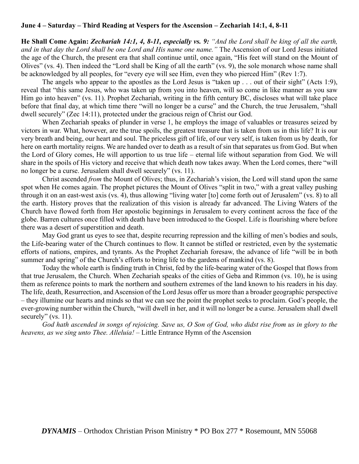### **June 4 – Saturday – Third Reading at Vespers for the Ascension – Zechariah 14:1, 4, 8-11**

**He Shall Come Again:** *Zechariah 14:1, 4, 8-11, especially vs. 9: "And the Lord shall be king of all the earth, and in that day the Lord shall be one Lord and His name one name."* The Ascension of our Lord Jesus initiated the age of the Church, the present era that shall continue until, once again, "His feet will stand on the Mount of Olives" (vs. 4). Then indeed the "Lord shall be King of all the earth" (vs. 9), the sole monarch whose name shall be acknowledged by all peoples, for "every eye will see Him, even they who pierced Him" (Rev 1:7).

The angels who appear to the apostles as the Lord Jesus is "taken up . . . out of their sight" (Acts 1:9), reveal that "this same Jesus, who was taken up from you into heaven, will so come in like manner as you saw Him go into heaven" (vs. 11). Prophet Zechariah, writing in the fifth century BC, discloses what will take place before that final day, at which time there "will no longer be a curse" and the Church, the true Jerusalem, "shall dwell securely" (Zec 14:11), protected under the gracious reign of Christ our God.

When Zechariah speaks of plunder in verse 1, he employs the image of valuables or treasures seized by victors in war. What, however, are the true spoils, the greatest treasure that is taken from us in this life? It is our very breath and being, our heart and soul. The priceless gift of life, of our very self, is taken from us by death, for here on earth mortality reigns. We are handed over to death as a result of sin that separates us from God. But when the Lord of Glory comes, He will apportion to us true life – eternal life without separation from God. We will share in the spoils of His victory and receive that which death now takes away. When the Lord comes, there "will no longer be a curse. Jerusalem shall dwell securely" (vs. 11).

Christ ascended *from* the Mount of Olives; thus, in Zechariah's vision, the Lord will stand upon the same spot when He comes again. The prophet pictures the Mount of Olives "split in two," with a great valley pushing through it on an east-west axis (vs. 4), thus allowing "living water [to] come forth out of Jerusalem" (vs. 8) to all the earth. History proves that the realization of this vision is already far advanced. The Living Waters of the Church have flowed forth from Her apostolic beginnings in Jerusalem to every continent across the face of the globe. Barren cultures once filled with death have been introduced to the Gospel. Life is flourishing where before there was a desert of superstition and death.

May God grant us eyes to see that, despite recurring repression and the killing of men's bodies and souls, the Life-bearing water of the Church continues to flow. It cannot be stifled or restricted, even by the systematic efforts of nations, empires, and tyrants. As the Prophet Zechariah foresaw, the advance of life "will be in both summer and spring" of the Church's efforts to bring life to the gardens of mankind (vs. 8).

Today the whole earth is finding truth in Christ, fed by the life-bearing water of the Gospel that flows from that true Jerusalem, the Church. When Zechariah speaks of the cities of Geba and Rimmon (vs. 10), he is using them as reference points to mark the northern and southern extremes of the land known to his readers in his day. The life, death, Resurrection, and Ascension of the Lord Jesus offer us more than a broader geographic perspective – they illumine our hearts and minds so that we can see the point the prophet seeks to proclaim. God's people, the ever-growing number within the Church, "will dwell in her, and it will no longer be a curse. Jerusalem shall dwell securely" (vs. 11).

*God hath ascended in songs of rejoicing. Save us, O Son of God, who didst rise from us in glory to the heavens, as we sing unto Thee. Alleluia!* – Little Entrance Hymn of the Ascension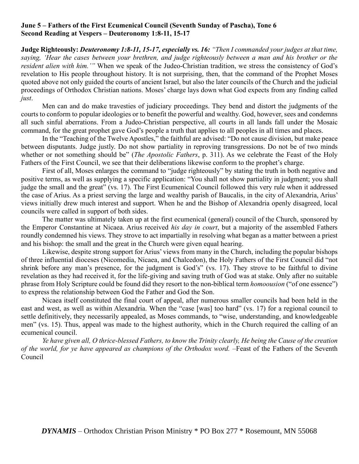# **June 5 – Fathers of the First Ecumenical Council (Seventh Sunday of Pascha), Tone 6 Second Reading at Vespers – Deuteronomy 1:8-11, 15-17**

**Judge Righteously:** *Deuteronomy 1:8-11, 15-17, especially vs. 16: "Then I commanded your judges at that time, saying, 'Hear the cases between your brethren, and judge righteously between a man and his brother or the resident alien with him.'"* When we speak of the Judeo-Christian tradition, we stress the consistency of God's revelation to His people throughout history. It is not surprising, then, that the command of the Prophet Moses quoted above not only guided the courts of ancient Israel, but also the later councils of the Church and the judicial proceedings of Orthodox Christian nations. Moses' charge lays down what God expects from any finding called *just*.

Men can and do make travesties of judiciary proceedings. They bend and distort the judgments of the courts to conform to popular ideologies or to benefit the powerful and wealthy. God, however, sees and condemns all such sinful aberrations. From a Judeo-Christian perspective, all courts in all lands fall under the Mosaic command, for the great prophet gave God's people a truth that applies to all peoples in all times and places.

In the "Teaching of the Twelve Apostles," the faithful are advised: "Do not cause division, but make peace between disputants. Judge justly. Do not show partiality in reproving transgressions. Do not be of two minds whether or not something should be" (*The Apostolic Fathers*, p. 311). As we celebrate the Feast of the Holy Fathers of the First Council, we see that their deliberations likewise conform to the prophet's charge.

First of all, Moses enlarges the command to "judge righteously" by stating the truth in both negative and positive terms, as well as supplying a specific application: "You shall not show partiality in judgment; you shall judge the small and the great" (vs. 17). The First Ecumenical Council followed this very rule when it addressed the case of Arius. As a priest serving the large and wealthy parish of Baucalis, in the city of Alexandria, Arius' views initially drew much interest and support. When he and the Bishop of Alexandria openly disagreed, local councils were called in support of both sides.

The matter was ultimately taken up at the first ecumenical (general) council of the Church, sponsored by the Emperor Constantine at Nicaea. Arius received *his day in court*, but a majority of the assembled Fathers roundly condemned his views. They strove to act impartially in resolving what began as a matter between a priest and his bishop: the small and the great in the Church were given equal hearing.

Likewise, despite strong support for Arius' views from many in the Church, including the popular bishops of three influential dioceses (Nicomedia, Nicaea, and Chalcedon), the Holy Fathers of the First Council did "not shrink before any man's presence, for the judgment is God's" (vs. 17). They strove to be faithful to divine revelation as they had received it, for the life-giving and saving truth of God was at stake. Only after no suitable phrase from Holy Scripture could be found did they resort to the non-biblical term *homoousion* ("of one essence") to express the relationship between God the Father and God the Son.

Nicaea itself constituted the final court of appeal, after numerous smaller councils had been held in the east and west, as well as within Alexandria. When the "case [was] too hard" (vs. 17) for a regional council to settle definitively, they necessarily appealed, as Moses commands, to "wise, understanding, and knowledgeable men" (vs. 15). Thus, appeal was made to the highest authority, which in the Church required the calling of an ecumenical council.

*Ye have given all, O thrice-blessed Fathers, to know the Trinity clearly, He being the Cause of the creation of the world, for ye have appeared as champions of the Orthodox word. –*Feast of the Fathers of the Seventh Council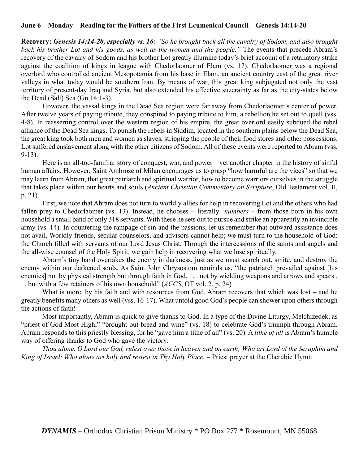# **June 6 – Monday – Reading for the Fathers of the First Ecumenical Council – Genesis 14:14-20**

**Recovery:** *Genesis 14:14-20, especially vs. 16: "So he brought back all the cavalry of Sodom, and also brought back his brother Lot and his goods, as well as the women and the people."* The events that precede Abram's recovery of the cavalry of Sodom and his brother Lot greatly illumine today's brief account of a retaliatory strike against the coalition of kings in league with Chedorlaomer of Elam (vs. 17). Chedorlaomer was a regional overlord who controlled ancient Mesopotamia from his base in Elam, an ancient country east of the great river valleys in what today would be southern Iran. By means of war, this great king subjugated not only the vast territory of present-day Iraq and Syria, but also extended his effective suzerainty as far as the city-states below the Dead (Salt) Sea (Gn 14:1-3).

However, the vassal kings in the Dead Sea region were far away from Chedorlaomer's center of power. After twelve years of paying tribute, they conspired to paying tribute to him, a rebellion he set out to quell (vss. 4-8). In reasserting control over the western region of his empire, the great overlord easily subdued the rebel alliance of the Dead Sea kings. To punish the rebels in Siddim, located in the southern plains below the Dead Sea, the great king took both men and women as slaves, stripping the people of their food stores and other possessions. Lot suffered enslavement along with the other citizens of Sodom. All of these events were reported to Abram (vss. 9-13).

Here is an all-too-familiar story of conquest, war, and power – yet another chapter in the history of sinful human affairs. However, Saint Ambrose of Milan encourages us to grasp "how harmful are the vices" so that we may learn from Abram, that great patriarch and spiritual warrior, how to become warriors ourselves in the struggle that takes place within our hearts and souls (*Ancient Christian Commentary on Scripture*, Old Testament vol. II, p. 21).

First, we note that Abram does not turn to worldly allies for help in recovering Lot and the others who had fallen prey to Chedorlaomer (vs. 13). Instead, he chooses – literally *numbers* – from those born in his own household a small band of only 318 servants. With these he sets out to pursue and strike an apparently an invincible army (vs. 14). In countering the rampage of sin and the passions, let us remember that outward assistance does not avail. Worldly friends, secular counselors, and advisors cannot help; we must turn to the household of God: the Church filled with servants of our Lord Jesus Christ. Through the intercessions of the saints and angels and the all-wise counsel of the Holy Spirit, we gain help in recovering what we lose spiritually.

Abram's tiny band overtakes the enemy in darkness, just as we must search out, smite, and destroy the enemy within our darkened souls. As Saint John Chrysostom reminds us, "the patriarch prevailed against [his enemies] not by physical strength but through faith in God. . . . not by wielding weapons and arrows and spears . . . but with a few retainers of his own household" (*ACCS*, OT vol. 2, p. 24)

What is more, by his faith and with resources from God, Abram recovers that which was lost – and he greatly benefits many others as well (vss. 16-17). What untold good God's people can shower upon others through the actions of faith!

Most importantly, Abram is quick to give thanks to God. In a type of the Divine Liturgy, Melchizedek, as "priest of God Most High," "brought out bread and wine" (vs. 18) to celebrate God's triumph through Abram. Abram responds to this priestly blessing, for he "gave him a tithe of all" (vs. 20). A *tithe of all* is Abram's humble way of offering thanks to God who gave the victory.

*Thou alone, O Lord our God, rulest over those in heaven and on earth; Who art Lord of the Seraphim and King of Israel; Who alone art holy and restest in Thy Holy Place.* – Priest prayer at the Cherubic Hymn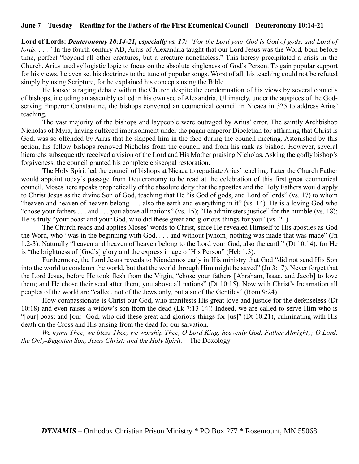# **June 7 – Tuesday – Reading for the Fathers of the First Ecumenical Council – Deuteronomy 10:14-21**

**Lord of Lords:** *Deuteronomy 10:14-21, especially vs. 17: "For the Lord your God is God of gods, and Lord of lords. . . ."* In the fourth century AD, Arius of Alexandria taught that our Lord Jesus was the Word, born before time, perfect "beyond all other creatures, but a creature nonetheless." This heresy precipitated a crisis in the Church. Arius used syllogistic logic to focus on the absolute singleness of God's Person. To gain popular support for his views, he even set his doctrines to the tune of popular songs. Worst of all, his teaching could not be refuted simply by using Scripture, for he explained his concepts using the Bible.

He loosed a raging debate within the Church despite the condemnation of his views by several councils of bishops, including an assembly called in his own see of Alexandria. Ultimately, under the auspices of the Godserving Emperor Constantine, the bishops convened an ecumenical council in Nicaea in 325 to address Arius' teaching.

The vast majority of the bishops and laypeople were outraged by Arius' error. The saintly Archbishop Nicholas of Myra, having suffered imprisonment under the pagan emperor Diocletian for affirming that Christ is God, was so offended by Arius that he slapped him in the face during the council meeting. Astonished by this action, his fellow bishops removed Nicholas from the council and from his rank as bishop. However, several hierarchs subsequently received a vision of the Lord and His Mother praising Nicholas. Asking the godly bishop's forgiveness, the council granted his complete episcopal restoration.

The Holy Spirit led the council of bishops at Nicaea to repudiate Arius' teaching. Later the Church Father would appoint today's passage from Deuteronomy to be read at the celebration of this first great ecumenical council. Moses here speaks prophetically of the absolute deity that the apostles and the Holy Fathers would apply to Christ Jesus as the divine Son of God, teaching that He "is God of gods, and Lord of lords" (vs. 17) to whom "heaven and heaven of heaven belong . . . also the earth and everything in it" (vs. 14). He is a loving God who "chose your fathers . . . and . . . you above all nations" (vs. 15); "He administers justice" for the humble (vs. 18); He is truly "your boast and your God, who did these great and glorious things for you" (vs. 21).

The Church reads and applies Moses' words to Christ, since He revealed Himself to His apostles as God the Word, who "was in the beginning with God. . . . and without [whom] nothing was made that was made" (Jn 1:2-3). Naturally "heaven and heaven of heaven belong to the Lord your God, also the earth" (Dt 10:14); for He is "the brightness of [God's] glory and the express image of His Person" (Heb 1:3).

Furthermore, the Lord Jesus reveals to Nicodemos early in His ministry that God "did not send His Son into the world to condemn the world, but that the world through Him might be saved" (Jn 3:17). Never forget that the Lord Jesus, before He took flesh from the Virgin, "chose your fathers [Abraham, Isaac, and Jacob] to love them; and He chose their seed after them, you above all nations" (Dt 10:15). Now with Christ's Incarnation all peoples of the world are "called, not of the Jews only, but also of the Gentiles" (Rom 9:24).

How compassionate is Christ our God, who manifests His great love and justice for the defenseless (Dt 10:18) and even raises a widow's son from the dead (Lk 7:13-14)! Indeed, we are called to serve Him who is "[our] boast and [our] God, who did these great and glorious things for [us]" (Dt 10:21), culminating with His death on the Cross and His arising from the dead for our salvation.

*We hymn Thee, we bless Thee, we worship Thee, O Lord King, heavenly God, Father Almighty; O Lord, the Only-Begotten Son, Jesus Christ; and the Holy Spirit. –* The Doxology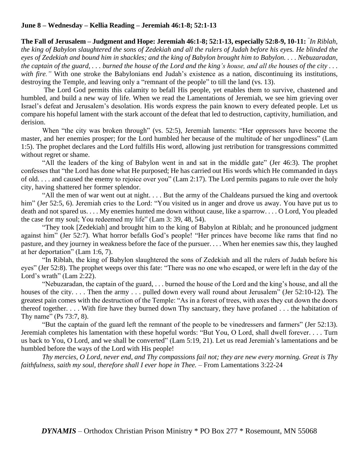# **June 8 – Wednesday – Kellia Reading – Jeremiah 46:1-8; 52:1-13**

**The Fall of Jerusalem – Judgment and Hope: Jeremiah 46:1-8; 52:1-13, especially 52:8-9, 10-11:** *" In Riblah, the king of Babylon slaughtered the sons of Zedekiah and all the rulers of Judah before his eyes. He blinded the eyes of Zedekiah and bound him in shackles; and the king of Babylon brought him to Babylon. . . . Nebuzaradan, the captain of the guard, . . . burned the house of the Lord and the king's house, and all the houses of the city . . .*  with fire." With one stroke the Babylonians end Judah's existence as a nation, discontinuing its institutions, destroying the Temple, and leaving only a "remnant of the people" to till the land (vs. 13).

The Lord God permits this calamity to befall His people, yet enables them to survive, chastened and humbled, and build a new way of life. When we read the Lamentations of Jeremiah, we see him grieving over Israel's defeat and Jerusalem's desolation. His words express the pain known to every defeated people. Let us compare his hopeful lament with the stark account of the defeat that led to destruction, captivity, humiliation, and derision.

When "the city was broken through" (vs. 52:5), Jeremiah laments: "Her oppressors have become the master, and her enemies prosper; for the Lord humbled her because of the multitude of her ungodliness" (Lam 1:5). The prophet declares and the Lord fulfills His word, allowing just retribution for transgressions committed without regret or shame.

"All the leaders of the king of Babylon went in and sat in the middle gate" (Jer 46:3). The prophet confesses that "the Lord has done what He purposed; He has carried out His words which He commanded in days of old. . . . and caused the enemy to rejoice over you" (Lam 2:17). The Lord permits pagans to rule over the holy city, having shattered her former splendor.

"All the men of war went out at night. . . . But the army of the Chaldeans pursued the king and overtook him" (Jer 52:5, 6). Jeremiah cries to the Lord: "You visited us in anger and drove us away. You have put us to death and not spared us. . . . My enemies hunted me down without cause, like a sparrow. . . . O Lord, You pleaded the case for my soul; You redeemed my life" (Lam 3: 39, 48, 54).

"They took [Zedekiah] and brought him to the king of Babylon at Riblah; and he pronounced judgment against him" (Jer 52:7). What horror befalls God's people! "Her princes have become like rams that find no pasture, and they journey in weakness before the face of the pursuer. . . . When her enemies saw this, they laughed at her deportation" (Lam 1:6, 7).

"In Riblah, the king of Babylon slaughtered the sons of Zedekiah and all the rulers of Judah before his eyes" (Jer 52:8). The prophet weeps over this fate: "There was no one who escaped, or were left in the day of the Lord's wrath" (Lam 2:22).

"Nebuzaradan, the captain of the guard, . . . burned the house of the Lord and the king's house, and all the houses of the city.... Then the army ... pulled down every wall round about Jerusalem" (Jer 52:10-12). The greatest pain comes with the destruction of the Temple: "As in a forest of trees, with axes they cut down the doors thereof together. . . . With fire have they burned down Thy sanctuary, they have profaned . . . the habitation of Thy name" (Ps 73:7, 8).

"But the captain of the guard left the remnant of the people to be vinedressers and farmers" (Jer 52:13). Jeremiah completes his lamentation with these hopeful words: "But You, O Lord, shall dwell forever. . . . Turn us back to You, O Lord, and we shall be converted" (Lam 5:19, 21). Let us read Jeremiah's lamentations and be humbled before the ways of the Lord with His people!

*Thy mercies, O Lord, never end, and Thy compassions fail not; they are new every morning. Great is Thy faithfulness, saith my soul, therefore shall I ever hope in Thee.* – From Lamentations 3:22-24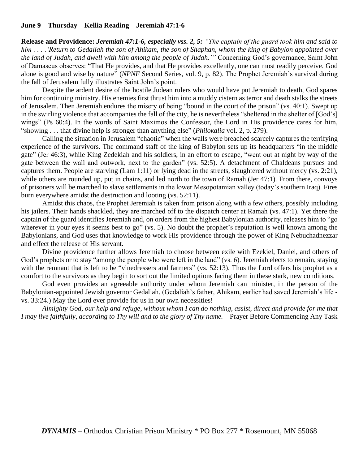## **June 9 – Thursday – Kellia Reading – Jeremiah 47:1-6**

**Release and Providence:** *Jeremiah 47:1-6, especially vss. 2, 5: "The captain of the guard took him and said to him . . . .'Return to Gedaliah the son of Ahikam, the son of Shaphan, whom the king of Babylon appointed over the land of Judah, and dwell with him among the people of Judah.'"* Concerning God's governance, Saint John of Damascus observes: "That He provides, and that He provides excellently, one can most readily perceive. God alone is good and wise by nature" (*NPNF* Second Series, vol. 9, p. 82). The Prophet Jeremiah's survival during the fall of Jerusalem fully illustrates Saint John's point.

Despite the ardent desire of the hostile Judean rulers who would have put Jeremiah to death, God spares him for continuing ministry. His enemies first thrust him into a muddy cistern as terror and death stalks the streets of Jerusalem. Then Jeremiah endures the misery of being "bound in the court of the prison" (vs. 40:1). Swept up in the swirling violence that accompanies the fall of the city, he is nevertheless "sheltered in the shelter of [God's] wings" (Ps 60:4). In the words of Saint Maximos the Confessor, the Lord in His providence cares for him, "showing . . . that divine help is stronger than anything else" (*Philokalia* vol. 2, p. 279).

Calling the situation in Jerusalem "chaotic" when the walls were breached scarcely captures the terrifying experience of the survivors. The command staff of the king of Babylon sets up its headquarters "in the middle gate" (Jer 46:3), while King Zedekiah and his soldiers, in an effort to escape, "went out at night by way of the gate between the wall and outwork, next to the garden" (vs. 52:5). A detachment of Chaldeans pursues and captures them. People are starving (Lam 1:11) or lying dead in the streets, slaughtered without mercy (vs. 2:21), while others are rounded up, put in chains, and led north to the town of Ramah (Jer 47:1). From there, convoys of prisoners will be marched to slave settlements in the lower Mesopotamian valley (today's southern Iraq). Fires burn everywhere amidst the destruction and looting (vs. 52:11).

Amidst this chaos, the Prophet Jeremiah is taken from prison along with a few others, possibly including his jailers. Their hands shackled, they are marched off to the dispatch center at Ramah (vs. 47:1). Yet there the captain of the guard identifies Jeremiah and, on orders from the highest Babylonian authority, releases him to "go wherever in your eyes it seems best to go" (vs. 5). No doubt the prophet's reputation is well known among the Babylonians, and God uses that knowledge to work His providence through the power of King Nebuchadnezzar and effect the release of His servant.

Divine providence further allows Jeremiah to choose between exile with Ezekiel, Daniel, and others of God's prophets or to stay "among the people who were left in the land" (vs. 6). Jeremiah elects to remain, staying with the remnant that is left to be "vinedressers and farmers" (vs. 52:13). Thus the Lord offers his prophet as a comfort to the survivors as they begin to sort out the limited options facing them in these stark, new conditions.

God even provides an agreeable authority under whom Jeremiah can minister, in the person of the Babylonian-appointed Jewish governor Gedaliah. (Gedaliah's father, Ahikam, earlier had saved Jeremiah's life vs. 33:24.) May the Lord ever provide for us in our own necessities!

*Almighty God, our help and refuge, without whom I can do nothing, assist, direct and provide for me that I may live faithfully, according to Thy will and to the glory of Thy name.* – Prayer Before Commencing Any Task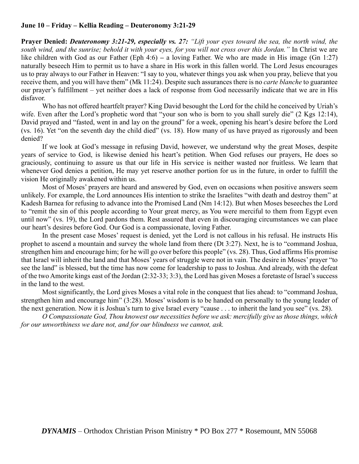# **June 10 – Friday – Kellia Reading – Deuteronomy 3:21-29**

**Prayer Denied:** *Deuteronomy 3:21-29, especially vs. 27: "Lift your eyes toward the sea, the north wind, the south wind, and the sunrise; behold it with your eyes, for you will not cross over this Jordan."* In Christ we are like children with God as our Father (Eph 4:6) **–** a loving Father. We who are made in His image (Gn 1:27) naturally beseech Him to permit us to have a share in His work in this fallen world. The Lord Jesus encourages us to pray always to our Father in Heaven: "I say to you, whatever things you ask when you pray, believe that you receive them, and you will have them" (Mk 11:24). Despite such assurances there is no *carte blanche* to guarantee our prayer's fulfillment – yet neither does a lack of response from God necessarily indicate that we are in His disfavor.

Who has not offered heartfelt prayer? King David besought the Lord for the child he conceived by Uriah's wife. Even after the Lord's prophetic word that "your son who is born to you shall surely die" (2 Kgs 12:14), David prayed and "fasted, went in and lay on the ground" for a week, opening his heart's desire before the Lord (vs. 16). Yet "on the seventh day the child died" (vs. 18). How many of us have prayed as rigorously and been denied?

If we look at God's message in refusing David, however, we understand why the great Moses, despite years of service to God, is likewise denied his heart's petition. When God refuses our prayers, He does so graciously, continuing to assure us that our life in His service is neither wasted nor fruitless. We learn that whenever God denies a petition, He may yet reserve another portion for us in the future, in order to fulfill the vision He originally awakened within us.

Most of Moses' prayers are heard and answered by God, even on occasions when positive answers seem unlikely. For example, the Lord announces His intention to strike the Israelites "with death and destroy them" at Kadesh Barnea for refusing to advance into the Promised Land (Nm 14:12). But when Moses beseeches the Lord to "remit the sin of this people according to Your great mercy, as You were merciful to them from Egypt even until now" (vs. 19), the Lord pardons them. Rest assured that even in discouraging circumstances we can place our heart's desires before God. Our God is a compassionate, loving Father.

In the present case Moses' request is denied, yet the Lord is not callous in his refusal. He instructs His prophet to ascend a mountain and survey the whole land from there (Dt 3:27). Next, he is to "command Joshua, strengthen him and encourage him; for he will go over before this people" (vs. 28). Thus, God affirms His promise that Israel will inherit the land and that Moses' years of struggle were not in vain. The desire in Moses' prayer "to see the land" is blessed, but the time has now come for leadership to pass to Joshua. And already, with the defeat of the two Amorite kings east of the Jordan (2:32-33; 3:3), the Lord has given Moses a foretaste of Israel's success in the land to the west.

Most significantly, the Lord gives Moses a vital role in the conquest that lies ahead: to "command Joshua, strengthen him and encourage him" (3:28). Moses' wisdom is to be handed on personally to the young leader of the next generation. Now it is Joshua's turn to give Israel every "cause . . . to inherit the land you see" (vs. 28).

*O Compassionate God, Thou knowest our necessities before we ask: mercifully give us those things, which for our unworthiness we dare not, and for our blindness we cannot, ask.*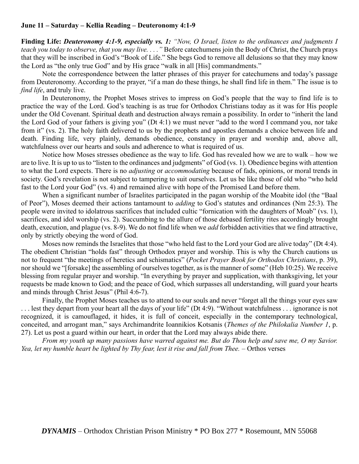### **June 11 – Saturday – Kellia Reading – Deuteronomy 4:1-9**

**Finding Life:** *Deuteronomy 4:1-9, especially vs. 1: "Now, O Israel, listen to the ordinances and judgments I teach you today to observe, that you may live. . . ."* Before catechumens join the Body of Christ, the Church prays that they will be inscribed in God's "Book of Life." She begs God to remove all delusions so that they may know the Lord as "the only true God" and by His grace "walk in all [His] commandments."

Note the correspondence between the latter phrases of this prayer for catechumens and today's passage from Deuteronomy. According to the prayer, "if a man do these things, he shall find life in them." The issue is to *find life*, and truly live.

In Deuteronomy, the Prophet Moses strives to impress on God's people that the way to find life is to practice the way of the Lord. God's teaching is as true for Orthodox Christians today as it was for His people under the Old Covenant. Spiritual death and destruction always remain a possibility. In order to "inherit the land the Lord God of your fathers is giving you" (Dt 4:1) we must never "add to the word I command you, nor take from it" (vs. 2). The holy faith delivered to us by the prophets and apostles demands a choice between life and death. Finding life, very plainly, demands obedience, constancy in prayer and worship and, above all, watchfulness over our hearts and souls and adherence to what is required of us.

Notice how Moses stresses obedience as the way to life. God has revealed how we are to walk – how we are to live. It is up to us to "listen to the ordinances and judgments" of God (vs. 1). Obedience begins with attention to what the Lord expects. There is no *adjusting* or *accommodating* because of fads, opinions, or moral trends in society. God's revelation is not subject to tampering to suit ourselves. Let us be like those of old who "who held fast to the Lord your God" (vs. 4) and remained alive with hope of the Promised Land before them.

When a significant number of Israelites participated in the pagan worship of the Moabite idol (the "Baal of Peor"), Moses deemed their actions tantamount to *adding* to God's statutes and ordinances (Nm 25:3). The people were invited to idolatrous sacrifices that included cultic "fornication with the daughters of Moab" (vs. 1), sacrifices, and idol worship (vs. 2). Succumbing to the allure of those debased fertility rites accordingly brought death, execution, and plague (vs. 8-9). We do not find life when we *add* forbidden activities that we find attractive, only by strictly obeying the word of God.

Moses now reminds the Israelites that those "who held fast to the Lord your God are alive today" (Dt 4:4). The obedient Christian "holds fast" through Orthodox prayer and worship. This is why the Church cautions us not to frequent "the meetings of heretics and schismatics" (*Pocket Prayer Book for Orthodox Christians*, p. 39), nor should we "[forsake] the assembling of ourselves together, as is the manner of some" (Heb 10:25). We receive blessing from regular prayer and worship. "In everything by prayer and supplication, with thanksgiving, let your requests be made known to God; and the peace of God, which surpasses all understanding, will guard your hearts and minds through Christ Jesus" (Phil 4:6-7).

Finally, the Prophet Moses teaches us to attend to our souls and never "forget all the things your eyes saw . . . lest they depart from your heart all the days of your life" (Dt 4:9). "Without watchfulness . . . ignorance is not recognized, it is camouflaged, it hides, it is full of conceit, especially in the contemporary technological, conceited, and arrogant man," says Archimandrite Ioannikios Kotsanis (*Themes of the Philokalia Number 1*, p. 27). Let us post a guard within our heart, in order that the Lord may always abide there.

*From my youth up many passions have warred against me. But do Thou help and save me, O my Savior. Yea, let my humble heart be lighted by Thy fear, lest it rise and fall from Thee.* – Orthos verses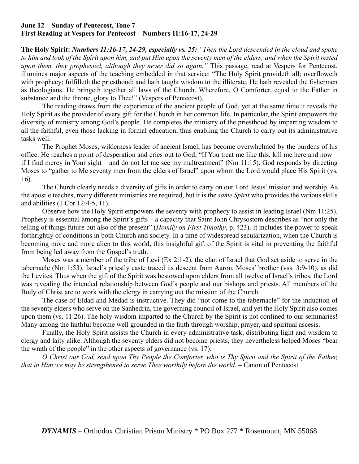# **June 12 – Sunday of Pentecost, Tone 7 First Reading at Vespers for Pentecost – Numbers 11:16-17, 24-29**

**The Holy Spirit:** *Numbers 11:16-17, 24-29, especially vs. 25: "Then the Lord descended in the cloud and spoke to him and took of the Spirit upon him, and put Him upon the seventy men of the elders; and when the Spirit rested upon them, they prophesied, although they never did so again."* This passage, read at Vespers for Pentecost, illumines major aspects of the teaching embedded in that service: "The Holy Spirit provideth all; overfloweth with prophecy; fulfilleth the priesthood; and hath taught wisdom to the illiterate. He hath revealed the fishermen as theologians. He bringeth together all laws of the Church. Wherefore, O Comforter, equal to the Father in substance and the throne, glory to Thee!" (Vespers of Pentecost).

The reading draws from the experience of the ancient people of God, yet at the same time it reveals the Holy Spirit as the provider of every gift for the Church in her common life. In particular, the Spirit empowers the diversity of ministry among God's people. He completes the ministry of the priesthood by imparting wisdom to all the faithful, even those lacking in formal education, thus enabling the Church to carry out its administrative tasks well.

The Prophet Moses, wilderness leader of ancient Israel, has become overwhelmed by the burdens of his office. He reaches a point of desperation and cries out to God, "If You treat me like this, kill me here and now – if I find mercy in Your sight – and do not let me see my maltreatment" (Nm 11:15). God responds by directing Moses to "gather to Me seventy men from the elders of Israel" upon whom the Lord would place His Spirit (vs. 16).

The Church clearly needs a diversity of gifts in order to carry on our Lord Jesus' mission and worship. As the apostle teaches, many different ministries are required, but it is the *same Spirit* who provides the various skills and abilities (1 Cor 12:4-5, 11).

Observe how the Holy Spirit empowers the seventy with prophecy to assist in leading Israel (Nm 11:25). Prophesy is essential among the Spirit's gifts – a capacity that Saint John Chrysostom describes as "not only the telling of things future but also of the present" (*Homily on First Timothy*, p. 423). It includes the power to speak forthrightly of conditions in both Church and society. In a time of widespread secularization, when the Church is becoming more and more alien to this world, this insightful gift of the Spirit is vital in preventing the faithful from being led away from the Gospel's truth.

Moses was a member of the tribe of Levi (Ex 2:1-2), the clan of Israel that God set aside to serve in the tabernacle (Nm 1:53). Israel's priestly caste traced its descent from Aaron, Moses' brother (vss. 3:9-10), as did the Levites. Thus when the gift of the Spirit was bestowed upon elders from all twelve of Israel's tribes, the Lord was revealing the intended relationship between God's people and our bishops and priests. All members of the Body of Christ are to work with the clergy in carrying out the mission of the Church.

The case of Eldad and Medad is instructive. They did "not come to the tabernacle" for the induction of the seventy elders who serve on the Sanhedrin, the governing council of Israel, and yet the Holy Spirit also comes upon them (vs. 11:26). The holy wisdom imparted to the Church by the Spirit is not confined to our seminaries! Many among the faithful become well grounded in the faith through worship, prayer, and spiritual ascesis.

Finally, the Holy Spirit assists the Church in every administrative task, distributing light and wisdom to clergy and laity alike. Although the seventy elders did not become priests, they nevertheless helped Moses "bear the wrath of the people" in the other aspects of governance (vs. 17).

*O Christ our God, send upon Thy People the Comforter, who is Thy Spirit and the Spirit of the Father, that in Him we may be strengthened to serve Thee worthily before the world.* – Canon of Pentecost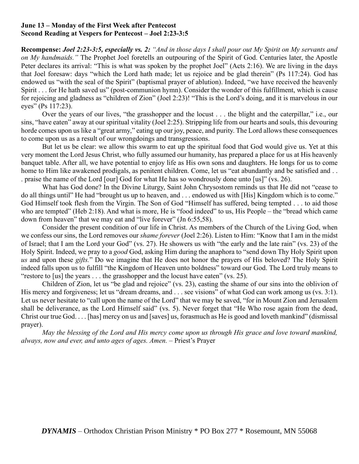# **June 13 – Monday of the First Week after Pentecost Second Reading at Vespers for Pentecost – Joel 2:23-3:5**

**Recompense:** *Joel 2:23-3:5, especially vs. 2: "And in those days I shall pour out My Spirit on My servants and on My handmaids."* The Prophet Joel foretells an outpouring of the Spirit of God. Centuries later, the Apostle Peter declares its arrival: "This is what was spoken by the prophet Joel" (Acts 2:16). We are living in the days that Joel foresaw: days "which the Lord hath made; let us rejoice and be glad therein" (Ps 117:24). God has endowed us "with the seal of the Spirit" (baptismal prayer of ablution). Indeed, "we have received the heavenly Spirit . . . for He hath saved us" (post-communion hymn). Consider the wonder of this fulfillment, which is cause for rejoicing and gladness as "children of Zion" (Joel 2:23)! "This is the Lord's doing, and it is marvelous in our eyes" (Ps 117:23).

Over the years of our lives, "the grasshopper and the locust . . . the blight and the caterpillar," i.e., our sins, "have eaten" away at our spiritual vitality (Joel 2:25). Stripping life from our hearts and souls, this devouring horde comes upon us like a "great army," eating up our joy, peace, and purity. The Lord allows these consequences to come upon us as a result of our wrongdoings and transgressions.

But let us be clear: we allow this swarm to eat up the spiritual food that God would give us. Yet at this very moment the Lord Jesus Christ, who fully assumed our humanity, has prepared a place for us at His heavenly banquet table. After all, we have potential to enjoy life as His own sons and daughters. He longs for us to come home to Him like awakened prodigals, as penitent children. Come, let us "eat abundantly and be satisfied and . . . praise the name of the Lord [our] God for what He has so wondrously done unto [us]" (vs. 26).

What has God done? In the Divine Liturgy, Saint John Chrysostom reminds us that He did not "cease to do all things until" He had "brought us up to heaven, and . . . endowed us with [His] Kingdom which is to come." God Himself took flesh from the Virgin. The Son of God "Himself has suffered, being tempted . . . to aid those who are tempted" (Heb 2:18). And what is more, He is "food indeed" to us, His People – the "bread which came" down from heaven" that we may eat and "live forever" (Jn 6:55,58).

Consider the present condition of our life in Christ. As members of the Church of the Living God, when we confess our sins, the Lord removes our *shame forever* (Joel 2:26). Listen to Him: "Know that I am in the midst of Israel; that I am the Lord your God" (vs. 27). He showers us with "the early and the late rain" (vs. 23) of the Holy Spirit. Indeed, we pray to a *good* God, asking Him during the anaphora to "send down Thy Holy Spirit upon *us* and upon these *gifts.*" Do we imagine that He does not honor the prayers of His beloved? The Holy Spirit indeed falls upon us to fulfill "the Kingdom of Heaven unto boldness" toward our God. The Lord truly means to "restore to [us] the years . . . the grasshopper and the locust have eaten" (vs. 25).

Children of Zion, let us "be glad and rejoice" (vs. 23), casting the shame of our sins into the oblivion of His mercy and forgiveness; let us "dream dreams, and . . . see visions" of what God can work among us (vs. 3:1). Let us never hesitate to "call upon the name of the Lord" that we may be saved, "for in Mount Zion and Jerusalem shall be deliverance, as the Lord Himself said" (vs. 5). Never forget that "He Who rose again from the dead, Christ our true God. . . . [has] mercy on us and [saves] us, forasmuch as He is good and loveth mankind" (dismissal prayer).

*May the blessing of the Lord and His mercy come upon us through His grace and love toward mankind, always, now and ever, and unto ages of ages. Amen. –* Priest's Prayer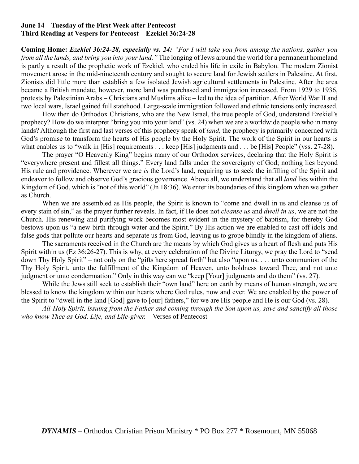### **June 14 – Tuesday of the First Week after Pentecost Third Reading at Vespers for Pentecost – Ezekiel 36:24-28**

**Coming Home:** *Ezekiel 36:24-28, especially vs. 24: "For I will take you from among the nations, gather you from all the lands, and bring you into your land."* The longing of Jews around the world for a permanent homeland is partly a result of the prophetic work of Ezekiel, who ended his life in exile in Babylon. The modern Zionist movement arose in the mid-nineteenth century and sought to secure land for Jewish settlers in Palestine. At first, Zionists did little more than establish a few isolated Jewish agricultural settlements in Palestine. After the area became a British mandate, however, more land was purchased and immigration increased. From 1929 to 1936, protests by Palestinian Arabs – Christians and Muslims alike – led to the idea of partition. After World War II and two local wars, Israel gained full statehood. Large-scale immigration followed and ethnic tensions only increased.

How then do Orthodox Christians, who are the New Israel, the true people of God, understand Ezekiel's prophecy? How do we interpret "bring you into your land" (vs. 24) when we are a worldwide people who in many lands? Although the first and last verses of this prophecy speak of *land*, the prophecy is primarily concerned with God's promise to transform the hearts of His people by the Holy Spirit. The work of the Spirit in our hearts is what enables us to "walk in [His] requirements . . . keep [His] judgments and . . . be [His] People" (vss. 27-28).

The prayer "O Heavenly King" begins many of our Orthodox services, declaring that the Holy Spirit is "everywhere present and fillest all things." Every land falls under the sovereignty of God; nothing lies beyond His rule and providence. Wherever we are *is* the Lord's land, requiring us to seek the infilling of the Spirit and endeavor to follow and observe God's gracious governance. Above all, we understand that all *land* lies within the Kingdom of God, which is "not of this world" (Jn 18:36). We enter its boundaries of this kingdom when we gather as Church.

When we are assembled as His people, the Spirit is known to "come and dwell in us and cleanse us of every stain of sin," as the prayer further reveals. In fact, if He does not *cleanse us* and *dwell in us*, we are not the Church. His renewing and purifying work becomes most evident in the mystery of baptism, for thereby God bestows upon us "a new birth through water and the Spirit." By His action we are enabled to cast off idols and false gods that pollute our hearts and separate us from God, leaving us to grope blindly in the kingdom of aliens.

The sacraments received in the Church are the means by which God gives us a heart of flesh and puts His Spirit within us (Ez 36:26-27). This is why, at every celebration of the Divine Liturgy, we pray the Lord to "send down Thy Holy Spirit" – not only on the "gifts here spread forth" but also "upon us. . . . unto communion of the Thy Holy Spirit, unto the fulfillment of the Kingdom of Heaven, unto boldness toward Thee, and not unto judgment or unto condemnation." Only in this way can we "keep [Your] judgments and do them" (vs. 27).

While the Jews still seek to establish their "own land" here on earth by means of human strength, we are blessed to know the kingdom within our hearts where God rules, now and ever. We are enabled by the power of the Spirit to "dwell in the land [God] gave to [our] fathers," for we are His people and He is our God (vs. 28).

*All-Holy Spirit, issuing from the Father and coming through the Son upon us, save and sanctify all those who know Thee as God, Life, and Life-giver.* – Verses of Pentecost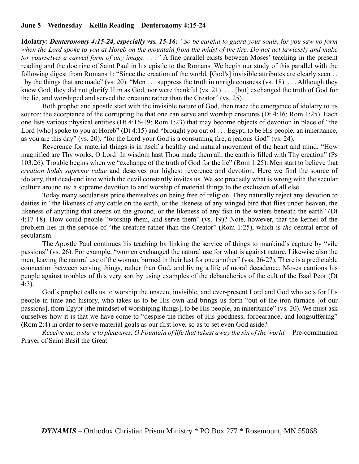## **June 5 – Wednesday – Kellia Reading – Deuteronomy 4:15-24**

**Idolatry:** *Deuteronomy 4:15-24, especially vss. 15-16: "So be careful to guard your souls, for you saw no form when the Lord spoke to you at Horeb on the mountain from the midst of the fire. Do not act lawlessly and make for yourselves a carved form of any image. . . ."* A fine parallel exists between Moses' teaching in the present reading and the doctrine of Saint Paul in his epistle to the Romans. We begin our study of this parallel with the following digest from Romans 1: "Since the creation of the world, [God's] invisible attributes are clearly seen . . . by the things that are made" (vs. 20). "Men . . . suppress the truth in unrighteousness (vs. 18). . . . Although they knew God, they did not glorify Him as God, nor were thankful (vs. 21). . . . [but] exchanged the truth of God for the lie, and worshiped and served the creature rather than the Creator" (vs. 25).

Both prophet and apostle start with the invisible nature of God, then trace the emergence of idolatry to its source: the acceptance of the corrupting lie that one can serve and worship creatures (Dt 4:16; Rom 1:25). Each one lists various physical entities (Dt 4:16-19; Rom 1:23) that may become objects of devotion in place of "the Lord [who] spoke to you at Horeb" (Dt 4:15) and "brought you out of . . . Egypt, to be His people, an inheritance, as you are this day" (vs. 20), "for the Lord your God is a consuming fire, a jealous God" (vs. 24).

Reverence for material things is in itself a healthy and natural movement of the heart and mind. "How magnified are Thy works, O Lord! In wisdom hast Thou made them all; the earth is filled with Thy creation" (Ps 103:26). Trouble begins when we "exchange of the truth of God for the lie" (Rom 1:25). Men start to believe that *creation holds supreme value* and deserves our highest reverence and devotion. Here we find the source of idolatry, that dead-end into which the devil constantly invites us. We see precisely what is wrong with the secular culture around us: a supreme devotion to and worship of material things to the exclusion of all else.

Today many secularists pride themselves on being free of religion. They naturally reject any devotion to deities in "the likeness of any cattle on the earth, or the likeness of any winged bird that flies under heaven, the likeness of anything that creeps on the ground, or the likeness of any fish in the waters beneath the earth" (Dt 4:17-18). How could people "worship them, and serve them" (vs. 19)? Note, however, that the kernel of the problem lies in the service of "the creature rather than the Creator" (Rom 1:25), which is *the* central error of secularism.

The Apostle Paul continues his teaching by linking the service of things to mankind's capture by "vile passions" (vs. 26). For example, "women exchanged the natural use for what is against nature. Likewise also the men, leaving the natural use of the woman, burned in their lust for one another" (vss. 26-27). There is a predictable connection between serving things, rather than God, and living a life of moral decadence. Moses cautions his people against troubles of this very sort by using examples of the debaucheries of the cult of the Baal Peor (Dt 4:3).

God's prophet calls us to worship the unseen, invisible, and ever-present Lord and God who acts for His people in time and history, who takes us to be His own and brings us forth "out of the iron furnace [of our passions], from Egypt [the mindset of worshiping things], to be His people, an inheritance" (vs. 20). We must ask ourselves how it is that we have come to "despise the riches of His goodness, forbearance, and longsuffering" (Rom 2:4) in order to serve material goals as our first love, so as to set even God aside?

*Receive me, a slave to pleasures, O Fountain of life that takest away the sin of the world.* – Pre-communion Prayer of Saint Basil the Great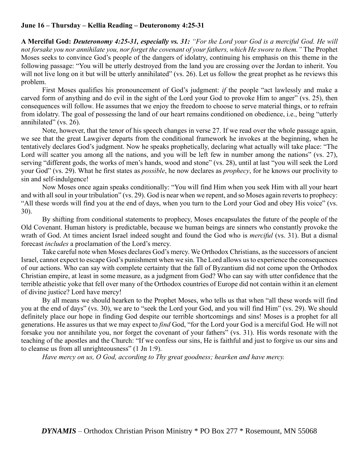# **June 16 – Thursday – Kellia Reading – Deuteronomy 4:25-31**

**A Merciful God:** *Deuteronomy 4:25-31, especially vs. 31: "For the Lord your God is a merciful God. He will not forsake you nor annihilate you, nor forget the covenant of your fathers, which He swore to them."* The Prophet Moses seeks to convince God's people of the dangers of idolatry, continuing his emphasis on this theme in the following passage: "You will be utterly destroyed from the land you are crossing over the Jordan to inherit. You will not live long on it but will be utterly annihilated" (vs. 26). Let us follow the great prophet as he reviews this problem.

First Moses qualifies his pronouncement of God's judgment: *if* the people "act lawlessly and make a carved form of anything and do evil in the sight of the Lord your God to provoke Him to anger" (vs. 25), then consequences will follow. He assumes that we enjoy the freedom to choose to serve material things, or to refrain from idolatry. The goal of possessing the land of our heart remains conditioned on obedience, i.e., being "utterly annihilated" (vs. 26).

Note, however, that the tenor of his speech changes in verse 27. If we read over the whole passage again, we see that the great Lawgiver departs from the conditional framework he invokes at the beginning, when he tentatively declares God's judgment. Now he speaks prophetically, declaring what actually will take place: "The Lord will scatter you among all the nations, and you will be left few in number among the nations" (vs. 27), serving "different gods, the works of men's hands, wood and stone" (vs. 28), until at last "you will seek the Lord your God" (vs. 29). What he first states as *possible*, he now declares as *prophecy*, for he knows our proclivity to sin and self-indulgence!

Now Moses once again speaks conditionally: "You will find Him when you seek Him with all your heart and with all soul in your tribulation" (vs. 29). God is near when we repent, and so Moses again reverts to prophecy: "All these words will find you at the end of days, when you turn to the Lord your God and obey His voice" (vs. 30).

By shifting from conditional statements to prophecy, Moses encapsulates the future of the people of the Old Covenant. Human history is predictable, because we human beings are sinners who constantly provoke the wrath of God. At times ancient Israel indeed sought and found the God who is *merciful* (vs. 31). But a dismal forecast *includes* a proclamation of the Lord's mercy.

Take careful note when Moses declares God's mercy. We Orthodox Christians, as the successors of ancient Israel, cannot expect to escape God's punishment when we sin. The Lord allows us to experience the consequences of our actions. Who can say with complete certainty that the fall of Byzantium did not come upon the Orthodox Christian empire, at least in some measure, as a judgment from God? Who can say with utter confidence that the terrible atheistic yoke that fell over many of the Orthodox countries of Europe did not contain within it an element of divine justice? Lord have mercy!

By all means we should hearken to the Prophet Moses, who tells us that when "all these words will find you at the end of days" (vs. 30), we are to "seek the Lord your God, and you will find Him" (vs. 29). We should definitely place our hope in finding God despite our terrible shortcomings and sins! Moses is a prophet for all generations. He assures us that we may expect to *find* God, "for the Lord your God is a merciful God. He will not forsake you nor annihilate you, nor forget the covenant of your fathers" (vs. 31). His words resonate with the teaching of the apostles and the Church: "If we confess our sins, He is faithful and just to forgive us our sins and to cleanse us from all unrighteousness" (1 Jn 1:9).

*Have mercy on us, O God, according to Thy great goodness; hearken and have mercy.*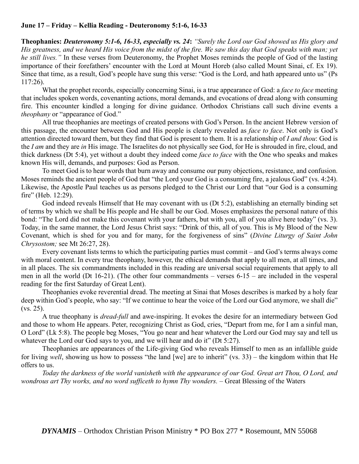# **June 17 – Friday – Kellia Reading - Deuteronomy 5:1-6, 16-33**

**Theophanies:** *Deuteronomy 5:1-6, 16-33, especially vs. 24***:** *"Surely the Lord our God showed us His glory and His greatness, and we heard His voice from the midst of the fire. We saw this day that God speaks with man; yet he still lives."* In these verses from Deuteronomy, the Prophet Moses reminds the people of God of the lasting importance of their forefathers' encounter with the Lord at Mount Horeb (also called Mount Sinai, cf. Ex 19). Since that time, as a result, God's people have sung this verse: "God is the Lord, and hath appeared unto us" (Ps 117:26).

What the prophet records, especially concerning Sinai, is a true appearance of God: a *face to face* meeting that includes spoken words, covenanting actions, moral demands, and evocations of dread along with consuming fire. This encounter kindled a longing for divine guidance. Orthodox Christians call such divine events a *theophany* or "appearance of God."

All true theophanies are meetings of created persons with God's Person. In the ancient Hebrew version of this passage, the encounter between God and His people is clearly revealed as *face to face*. Not only is God's attention directed toward them, but they find that God is present to them. It is a relationship of *I and thou*: God is the *I am* and they are *in* His image. The Israelites do not physically see God, for He is shrouded in fire, cloud, and thick darkness (Dt 5:4), yet without a doubt they indeed come *face to face* with the One who speaks and makes known His will, demands, and purposes: God as Person.

To meet God is to hear words that burn away and consume our puny objections, resistance, and confusion. Moses reminds the ancient people of God that "the Lord your God is a consuming fire, a jealous God" (vs. 4:24). Likewise, the Apostle Paul teaches us as persons pledged to the Christ our Lord that "our God is a consuming fire" (Heb. 12:29).

God indeed reveals Himself that He may covenant with us (Dt 5:2), establishing an eternally binding set of terms by which we shall be His people and He shall be our God. Moses emphasizes the personal nature of this bond: "The Lord did not make this covenant with your fathers, but with you, all of you alive here today" (vs. 3). Today, in the same manner, the Lord Jesus Christ says: "Drink of this, all of you. This is My Blood of the New Covenant, which is shed for you and for many, for the forgiveness of sins" (*Divine Liturgy of Saint John Chrysostom;* see Mt 26:27, 28).

Every covenant lists terms to which the participating parties must commit – and God's terms always come with moral content. In every true theophany, however, the ethical demands that apply to all men, at all times, and in all places. The six commandments included in this reading are universal social requirements that apply to all men in all the world (Dt 16-21). (The other four commandments – verses 6-15 – are included in the vesperal reading for the first Saturday of Great Lent).

Theophanies evoke reverential dread. The meeting at Sinai that Moses describes is marked by a holy fear deep within God's people, who say: "If we continue to hear the voice of the Lord our God anymore, we shall die" (vs. 25).

A true theophany is *dread-full* and awe-inspiring. It evokes the desire for an intermediary between God and those to whom He appears. Peter, recognizing Christ as God, cries, "Depart from me, for I am a sinful man, O Lord" (Lk 5:8). The people beg Moses, "You go near and hear whatever the Lord our God may say and tell us whatever the Lord our God says to you, and we will hear and do it" (Dt 5:27).

Theophanies are appearances of the Life-giving God who reveals Himself to men as an infallible guide for living *well*, showing us how to possess "the land [we] are to inherit" (vs. 33) – the kingdom within that He offers to us.

*Today the darkness of the world vanisheth with the appearance of our God. Great art Thou, O Lord, and wondrous art Thy works, and no word sufficeth to hymn Thy wonders.* – Great Blessing of the Waters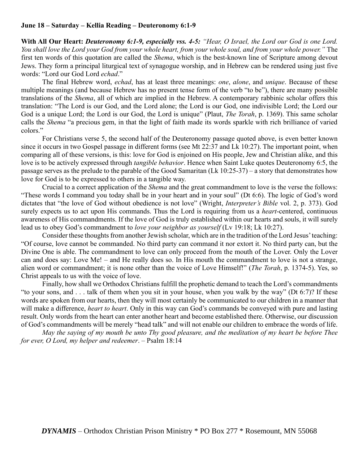### **June 18 – Saturday – Kellia Reading – Deuteronomy 6:1-9**

**With All Our Heart:** *Deuteronomy 6:1-9, especially vss. 4-5: "Hear, O Israel, the Lord our God is one Lord. You shall love the Lord your God from your whole heart, from your whole soul, and from your whole power."* The first ten words of this quotation are called the *Shema*, which is the best-known line of Scripture among devout Jews. They form a principal liturgical text of synagogue worship, and in Hebrew can be rendered using just five words: "Lord our God Lord *echad*."

The final Hebrew word, *echad*, has at least three meanings: *one*, *alone*, and *unique*. Because of these multiple meanings (and because Hebrew has no present tense form of the verb "to be"), there are many possible translations of the *Shema*, all of which are implied in the Hebrew. A contemporary rabbinic scholar offers this translation: "The Lord is our God, and the Lord alone; the Lord is our God, one indivisible Lord; the Lord our God is a unique Lord; the Lord is our God, the Lord is unique" (Plaut, *The Torah*, p. 1369). This same scholar calls the *Shema* "a precious gem, in that the light of faith made its words sparkle with rich brilliance of varied colors."

For Christians verse 5, the second half of the Deuteronomy passage quoted above, is even better known since it occurs in two Gospel passage in different forms (see Mt 22:37 and Lk 10:27). The important point, when comparing all of these versions, is this: love for God is enjoined on His people, Jew and Christian alike, and this love is to be actively expressed through *tangible behavior*. Hence when Saint Luke quotes Deuteronomy 6:5, the passage serves as the prelude to the parable of the Good Samaritan (Lk 10:25-37) – a story that demonstrates how love for God is to be expressed to others in a tangible way.

Crucial to a correct application of the *Shema* and the great commandment to love is the verse the follows: "These words I command you today shall be in your heart and in your soul" (Dt 6:6). The logic of God's word dictates that "the love of God without obedience is not love" (Wright, *Interpreter's Bible* vol. 2, p. 373). God surely expects us to act upon His commands. Thus the Lord is requiring from us a *heart*-centered, continuous awareness of His commandments. If the love of God is truly established within our hearts and souls, it will surely lead us to obey God's commandment to *love your neighbor as yourself* (Lv 19:18; Lk 10:27).

Consider these thoughts from another Jewish scholar, which are in the tradition of the Lord Jesus' teaching: "Of course, love cannot be commanded. No third party can command it nor extort it. No third party can, but the Divine One is able. The commandment to love can only proceed from the mouth of the Lover. Only the Lover can and does say: Love Me! – and He really does so. In His mouth the commandment to love is not a strange, alien word or commandment; it is none other than the voice of Love Himself!" (*The Torah*, p. 1374-5). Yes, so Christ appeals to us with the voice of love.

Finally, how shall we Orthodox Christians fulfill the prophetic demand to teach the Lord's commandments "to your sons, and . . . talk of them when you sit in your house, when you walk by the way" (Dt 6:7)? If these words are spoken from our hearts, then they will most certainly be communicated to our children in a manner that will make a difference, *heart to heart*. Only in this way can God's commands be conveyed with pure and lasting result. Only words from the heart can enter another heart and become established there. Otherwise, our discussion of God's commandments will be merely "head talk" and will not enable our children to embrace the words of life.

*May the saying of my mouth be unto Thy good pleasure, and the meditation of my heart be before Thee for ever, O Lord, my helper and redeemer*. – Psalm 18:14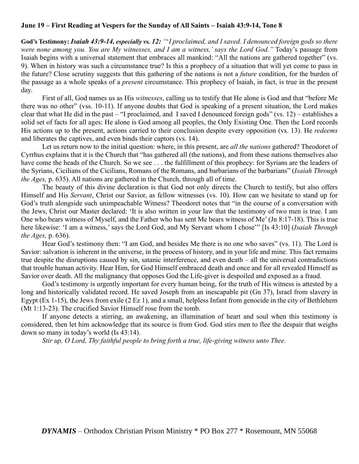## **June 19 – First Reading at Vespers for the Sunday of All Saints – Isaiah 43:9-14, Tone 8**

**God's Testimony:** *Isaiah 43:9-14, especially vs. 12: "*'*I proclaimed, and I saved. I denounced foreign gods so there were none among you. You are My witnesses, and I am a witness,' says the Lord God."* Today's passage from Isaiah begins with a universal statement that embraces all mankind: "All the nations are gathered together" (vs. 9). When in history was such a circumstance true? Is this a prophecy of a situation that will yet come to pass in the future? Close scrutiny suggests that this gathering of the nations is not a *future* condition, for the burden of the passage as a whole speaks of a *present* circumstance. This prophecy of Isaiah, in fact, is true in the present day.

First of all, God names us as His *witnesses*, calling us to testify that He alone is God and that "before Me there was no other" (vss. 10-11). If anyone doubts that God is speaking of a present situation, the Lord makes clear that what He did in the past – "I proclaimed, and I saved I denounced foreign gods" (vs. 12) – establishes a solid set of facts for all ages: He alone is God among all peoples, the Only Existing One. Then the Lord records His actions up to the present, actions carried to their conclusion despite every opposition (vs. 13). He *redeems* and liberates the captives, and even binds their captors (vs. 14).

Let us return now to the initial question: where, in this present, are *all the nations* gathered? Theodoret of Cyrrhus explains that it is the Church that "has gathered all (the nations), and from these nations themselves also have come the heads of the Church. So we see . . . the fulfillment of this prophecy: for Syrians are the leaders of the Syrians, Cicilians of the Cicilians, Romans of the Romans, and barbarians of the barbarians" (*Isaiah Through the Ages,* p. 635). All nations are gathered in the Church, through all of time.

The beauty of this divine declaration is that God not only directs the Church to testify, but also offers Himself and His *Servant*, Christ our Savior, as fellow witnesses (vs. 10). How can we hesitate to stand up for God's truth alongside such unimpeachable Witness? Theodoret notes that "in the course of a conversation with the Jews, Christ our Master declared: 'It is also written in your law that the testimony of two men is true. I am One who bears witness of Myself, and the Father who has sent Me bears witness of Me' (Jn 8:17-18). This is true here likewise: 'I am a witness,' says the Lord God, and My Servant whom I chose'" [Is 43:10] (*Isaiah Through the Ages,* p. 636).

Hear God's testimony then: "I am God, and besides Me there is no one who saves" (vs. 11). The Lord is Savior: salvation is inherent in the universe, in the process of history, and in your life and mine. This fact remains true despite the disruptions caused by sin, satanic interference, and even death – all the universal contradictions that trouble human activity. Hear Him, for God Himself embraced death and once and for all revealed Himself as Savior over death. All the malignancy that opposes God the Life-giver is despoiled and exposed as a fraud.

God's testimony is urgently important for every human being, for the truth of His witness is attested by a long and historically validated record. He saved Joseph from an inescapable pit (Gn 37), Israel from slavery in Egypt (Ex 1-15), the Jews from exile (2 Ez 1), and a small, helpless Infant from genocide in the city of Bethlehem (Mt 1:13-23). The crucified Savior Himself rose from the tomb.

If anyone detects a stirring, an awakening, an illumination of heart and soul when this testimony is considered, then let him acknowledge that its source is from God. God stirs men to flee the despair that weighs down so many in today's world (Is 43:14).

*Stir up, O Lord, Thy faithful people to bring forth a true, life-giving witness unto Thee.*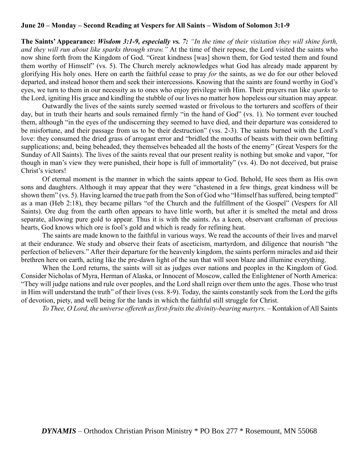### **June 20 – Monday – Second Reading at Vespers for All Saints – Wisdom of Solomon 3:1-9**

**The Saints' Appearance:** *Wisdom 3:1-9, especially vs. 7: "In the time of their visitation they will shine forth, and they will run about like sparks through straw."* At the time of their repose, the Lord visited the saints who now shine forth from the Kingdom of God. "Great kindness [was] shown them, for God tested them and found them worthy of Himself" (vs. 5). The Church merely acknowledges what God has already made apparent by glorifying His holy ones. Here on earth the faithful cease to pray *for* the saints, as we do for our other beloved departed, and instead honor them and seek their intercessions. Knowing that the saints are found worthy in God's eyes, we turn to them in our necessity as to ones who enjoy privilege with Him. Their prayers run like *sparks* to the Lord, igniting His grace and kindling the stubble of our lives no matter how hopeless our situation may appear.

Outwardly the lives of the saints surely seemed wasted or frivolous to the torturers and scoffers of their day, but in truth their hearts and souls remained firmly "in the hand of God" (vs. 1). No torment ever touched them, although "in the eyes of the undiscerning they seemed to have died, and their departure was considered to be misfortune, and their passage from us to be their destruction" (vss. 2-3). The saints burned with the Lord's love: they consumed the dried grass of arrogant error and "bridled the mouths of beasts with their own befitting supplications; and, being beheaded, they themselves beheaded all the hosts of the enemy" (Great Vespers for the Sunday of All Saints). The lives of the saints reveal that our present reality is nothing but smoke and vapor, "for though in man's view they were punished, their hope is full of immortality" (vs. 4). Do not deceived, but praise Christ's victors!

Of eternal moment is the manner in which the saints appear to God. Behold, He sees them as His own sons and daughters. Although it may appear that they were "chastened in a few things, great kindness will be shown them" (vs. 5). Having learned the true path from the Son of God who "Himself has suffered, being tempted" as a man (Heb 2:18), they became pillars "of the Church and the fulfillment of the Gospel" (Vespers for All Saints). Ore dug from the earth often appears to have little worth, but after it is smelted the metal and dross separate, allowing pure gold to appear. Thus it is with the saints. As a keen, observant craftsman of precious hearts, God knows which ore is fool's gold and which is ready for refining heat.

The saints are made known to the faithful in various ways. We read the accounts of their lives and marvel at their endurance. We study and observe their feats of asceticism, martyrdom, and diligence that nourish "the perfection of believers." After their departure for the heavenly kingdom, the saints perform miracles and aid their brethren here on earth, acting like the pre-dawn light of the sun that will soon blaze and illumine everything.

When the Lord returns, the saints will sit as judges over nations and peoples in the Kingdom of God. Consider Nicholas of Myra, Herman of Alaska, or Innocent of Moscow, called the Enlightener of North America: "They will judge nations and rule over peoples, and the Lord shall reign over them unto the ages. Those who trust in Him will understand the truth" of their lives (vss. 8-9). Today, the saints constantly seek from the Lord the gifts of devotion, piety, and well being for the lands in which the faithful still struggle for Christ.

*To Thee, O Lord, the universe offereth as first-fruits the divinity-bearing martyrs. –* Kontakion of All Saints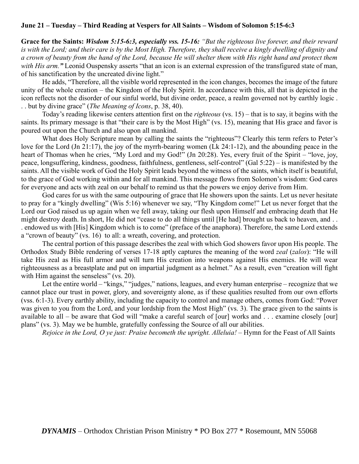# **June 21 – Tuesday – Third Reading at Vespers for All Saints – Wisdom of Solomon 5:15-6:3**

**Grace for the Saints:** *Wisdom 5:15-6:3, especially vss. 15-16: "But the righteous live forever, and their reward is with the Lord; and their care is by the Most High. Therefore, they shall receive a kingly dwelling of dignity and a crown of beauty from the hand of the Lord, because He will shelter them with His right hand and protect them with His arm."* Leonid Ouspensky asserts "that an icon is an external expression of the transfigured state of man, of his sanctification by the uncreated divine light."

He adds, "Therefore, all the visible world represented in the icon changes, becomes the image of the future unity of the whole creation – the Kingdom of the Holy Spirit. In accordance with this, all that is depicted in the icon reflects not the disorder of our sinful world, but divine order, peace, a realm governed not by earthly logic . . . but by divine grace" (*The Meaning of Icons*, p. 38, 40).

Today's reading likewise centers attention first on the *righteous* (vs. 15) – that is to say, it begins with the saints. Its primary message is that "their care is by the Most High" (vs. 15), meaning that His grace and favor is poured out upon the Church and also upon all mankind.

What does Holy Scripture mean by calling the saints the "righteous"? Clearly this term refers to Peter's love for the Lord (Jn 21:17), the joy of the myrrh-bearing women (Lk 24:1-12), and the abounding peace in the heart of Thomas when he cries, "My Lord and my God!" (Jn 20:28). Yes, every fruit of the Spirit – "love, joy, peace, longsuffering, kindness, goodness, faithfulness, gentleness, self-control" (Gal 5:22) – is manifested by the saints. All the visible work of God the Holy Spirit leads beyond the witness of the saints, which itself is beautiful, to the grace of God working within and for all mankind. This message flows from Solomon's wisdom: God cares for everyone and acts with zeal on our behalf to remind us that the powers we enjoy derive from Him.

God cares for us with the same outpouring of grace that He showers upon the saints. Let us never hesitate to pray for a "kingly dwelling" (Wis 5:16) whenever we say, "Thy Kingdom come!" Let us never forget that the Lord our God raised us up again when we fell away, taking our flesh upon Himself and embracing death that He might destroy death. In short, He did not "cease to do all things until [He had] brought us back to heaven, and ... . endowed us with [His] Kingdom which is to come" (preface of the anaphora). Therefore, the same Lord extends a "crown of beauty" (vs. 16) to all: a wreath, covering, and protection.

The central portion of this passage describes the zeal with which God showers favor upon His people. The Orthodox Study Bible rendering of verses 17-18 aptly captures the meaning of the word *zeal* (*zalos*): "He will take His zeal as His full armor and will turn His creation into weapons against His enemies. He will wear righteousness as a breastplate and put on impartial judgment as a helmet." As a result, even "creation will fight with Him against the senseless" (vs. 20).

Let the entire world – "kings," "judges," nations, leagues, and every human enterprise – recognize that we cannot place our trust in power, glory, and sovereignty alone, as if these qualities resulted from our own efforts (vss. 6:1-3). Every earthly ability, including the capacity to control and manage others, comes from God: "Power was given to you from the Lord, and your lordship from the Most High" (vs. 3). The grace given to the saints is available to all – be aware that God will "make a careful search of [our] works and . . . examine closely [our] plans" (vs. 3). May we be humble, gratefully confessing the Source of all our abilities.

*Rejoice in the Lord, O ye just: Praise becometh the upright. Alleluia! –* Hymn for the Feast of All Saints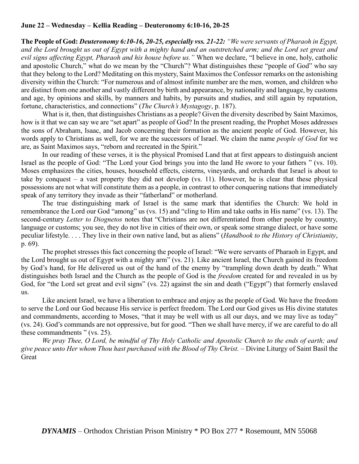# **June 22 – Wednesday – Kellia Reading – Deuteronomy 6:10-16, 20-25**

**The People of God:** *Deuteronomy 6:10-16, 20-25, especially vss. 21-22: "We were servants of Pharaoh in Egypt, and the Lord brought us out of Egypt with a mighty hand and an outstretched arm; and the Lord set great and evil signs affecting Egypt, Pharaoh and his house before us."* When we declare, "I believe in one, holy, catholic and apostolic Church," what do we mean by the "Church"? What distinguishes these "people of God" who say that they belong to the Lord? Meditating on this mystery, Saint Maximos the Confessor remarks on the astonishing diversity within the Church: "For numerous and of almost infinite number are the men, women, and children who are distinct from one another and vastly different by birth and appearance, by nationality and language, by customs and age, by opinions and skills, by manners and habits, by pursuits and studies, and still again by reputation, fortune, characteristics, and connections" (*The Church's Mystagogy*, p. 187).

What is it, then, that distinguishes Christians as a people? Given the diversity described by Saint Maximos, how is it that we can say we are "set apart" as people of God? In the present reading, the Prophet Moses addresses the sons of Abraham, Isaac, and Jacob concerning their formation as the ancient people of God. However, his words apply to Christians as well, for we are the successors of Israel. We claim the name *people of God* for we are, as Saint Maximos says, "reborn and recreated in the Spirit."

In our reading of these verses, it is the physical Promised Land that at first appears to distinguish ancient Israel as the people of God: "The Lord your God brings you into the land He swore to your fathers " (vs. 10). Moses emphasizes the cities, houses, household effects, cisterns, vineyards, and orchards that Israel is about to take by conquest – a vast property they did not develop (vs. 11). However, he is clear that these physical possessions are not what will constitute them as a people, in contrast to other conquering nations that immediately speak of any territory they invade as their "fatherland" or motherland.

The true distinguishing mark of Israel is the same mark that identifies the Church: We hold in remembrance the Lord our God "among" us (vs. 15) and "cling to Him and take oaths in His name" (vs. 13). The second-century *Letter to Diognetos* notes that "Christians are not differentiated from other people by country, language or customs; you see, they do not live in cities of their own, or speak some strange dialect, or have some peculiar lifestyle. . . . They live in their own native land, but as aliens" (*Handbook to the History of Christianity*, p. 69).

The prophet stresses this fact concerning the people of Israel: "We were servants of Pharaoh in Egypt, and the Lord brought us out of Egypt with a mighty arm" (vs. 21). Like ancient Israel, the Church gained its freedom by God's hand, for He delivered us out of the hand of the enemy by "trampling down death by death." What distinguishes both Israel and the Church as the people of God is the *freedom* created for and revealed in us by God, for "the Lord set great and evil signs" (vs. 22) against the sin and death ("Egypt") that formerly enslaved us.

Like ancient Israel, we have a liberation to embrace and enjoy as the people of God. We have the freedom to serve the Lord our God because His service is perfect freedom. The Lord our God gives us His divine statutes and commandments, according to Moses, "that it may be well with us all our days, and we may live as today" (vs. 24). God's commands are not oppressive, but for good. "Then we shall have mercy, if we are careful to do all these commandments " (vs. 25).

*We pray Thee, O Lord, be mindful of Thy Holy Catholic and Apostolic Church to the ends of earth; and give peace unto Her whom Thou hast purchased with the Blood of Thy Christ. –* Divine Liturgy of Saint Basil the Great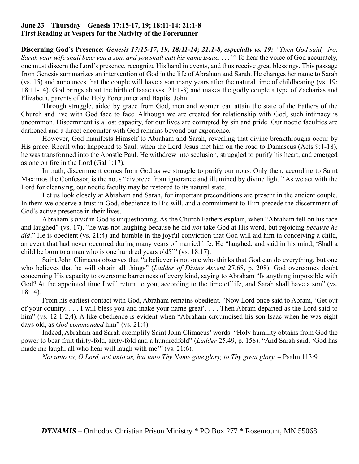# **June 23 – Thursday – Genesis 17:15-17, 19; 18:11-14; 21:1-8 First Reading at Vespers for the Nativity of the Forerunner**

**Discerning God's Presence:** *Genesis 17:15-17, 19; 18:11-14; 21:1-8, especially vs. 19: "Then God said, 'No, Sarah your wife shall bear you a son, and you shall call his name Isaac. . . .'"* To hear the voice of God accurately, one must discern the Lord's presence, recognize His hand in events, and thus receive great blessings. This passage from Genesis summarizes an intervention of God in the life of Abraham and Sarah. He changes her name to Sarah (vs. 15) and announces that the couple will have a son many years after the natural time of childbearing (vs. 19; 18:11-14). God brings about the birth of Isaac (vss. 21:1-3) and makes the godly couple a type of Zacharias and Elizabeth, parents of the Holy Forerunner and Baptist John.

Through struggle, aided by grace from God, men and women can attain the state of the Fathers of the Church and live with God face to face. Although we are created for relationship with God, such intimacy is uncommon. Discernment is a lost capacity, for our lives are corrupted by sin and pride. Our noetic faculties are darkened and a direct encounter with God remains beyond our experience.

However, God manifests Himself to Abraham and Sarah, revealing that divine breakthroughs occur by His grace. Recall what happened to Saul: when the Lord Jesus met him on the road to Damascus (Acts 9:1-18), he was transformed into the Apostle Paul. He withdrew into seclusion, struggled to purify his heart, and emerged as one on fire in the Lord (Gal 1:17).

In truth, discernment comes from God as we struggle to purify our nous. Only then, according to Saint Maximos the Confessor, is the nous "divorced from ignorance and illumined by divine light." As we act with the Lord for cleansing, our noetic faculty may be restored to its natural state.

Let us look closely at Abraham and Sarah, for important preconditions are present in the ancient couple. In them we observe a trust in God, obedience to His will, and a commitment to Him precede the discernment of God's active presence in their lives.

Abraham's *trust* in God is unquestioning. As the Church Fathers explain, when "Abraham fell on his face and laughed" (vs. 17), "he was not laughing because he did *not* take God at His word, but rejoicing *because he*  did." He is obedient (vs. 21:4) and humble in the joyful conviction that God will aid him in conceiving a child, an event that had never occurred during many years of married life. He "laughed, and said in his mind, 'Shall a child be born to a man who is one hundred years old?'" (vs. 18:17).

Saint John Climacus observes that "a believer is not one who thinks that God can do everything, but one who believes that he will obtain all things" (*Ladder of Divine Ascent* 27.68, p. 208). God overcomes doubt concerning His capacity to overcome barrenness of every kind, saying to Abraham "Is anything impossible with God? At the appointed time I will return to you, according to the time of life, and Sarah shall have a son" (vs. 18:14).

From his earliest contact with God, Abraham remains obedient. "Now Lord once said to Abram, 'Get out of your country. . . . I will bless you and make your name great'. . . . Then Abram departed as the Lord said to him" (vs. 12:1-2,4). A like obedience is evident when "Abraham circumcised his son Isaac when he was eight days old, as *God commanded* him" (vs. 21:4).

Indeed, Abraham and Sarah exemplify Saint John Climacus' words: "Holy humility obtains from God the power to bear fruit thirty-fold, sixty-fold and a hundredfold" (*Ladder* 25.49, p. 158). "And Sarah said, 'God has made me laugh; all who hear will laugh with me'" (vs. 21:6).

*Not unto us, O Lord, not unto us, but unto Thy Name give glory, to Thy great glory. –* Psalm 113:9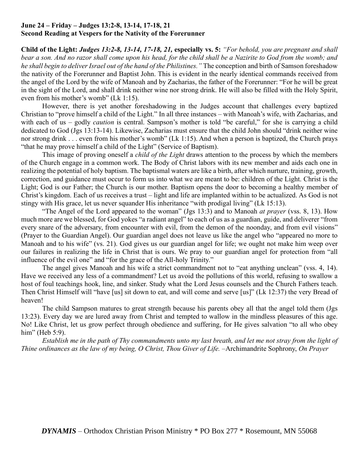# **June 24 – Friday – Judges 13:2-8, 13-14, 17-18, 21 Second Reading at Vespers for the Nativity of the Forerunner**

**Child of the Light:** *Judges 13:2-8, 13-14, 17-18, 21,* **especially vs. 5:** *"For behold, you are pregnant and shall bear a son. And no razor shall come upon his head, for the child shall be a Nazirite to God from the womb; and he shall begin to deliver Israel out of the hand of the Philistines."* The conception and birth of Samson foreshadow the nativity of the Forerunner and Baptist John. This is evident in the nearly identical commands received from the angel of the Lord by the wife of Manoah and by Zacharias, the father of the Forerunner: "For he will be great in the sight of the Lord, and shall drink neither wine nor strong drink. He will also be filled with the Holy Spirit, even from his mother's womb" (Lk 1:15).

However, there is yet another foreshadowing in the Judges account that challenges every baptized Christian to "prove himself a child of the Light." In all three instances – with Manoah's wife, with Zacharias, and with each of us – godly *caution* is central. Sampson's mother is told "be careful," for she is carrying a child dedicated to God (Jgs 13:13-14). Likewise, Zacharias must ensure that the child John should "drink neither wine nor strong drink . . . even from his mother's womb" (Lk 1:15). And when a person is baptized, the Church prays "that he may prove himself a child of the Light" (Service of Baptism).

This image of proving oneself a *child of the Light* draws attention to the process by which the members of the Church engage in a common work. The Body of Christ labors with its new member and aids each one in realizing the potential of holy baptism. The baptismal waters are like a birth, after which nurture, training, growth, correction, and guidance must occur to form us into what we are meant to be: children of the Light. Christ is the Light; God is our Father; the Church is our mother. Baptism opens the door to becoming a healthy member of Christ's kingdom. Each of us receives a trust – light and life are implanted within to be actualized. As God is not stingy with His grace, let us never squander His inheritance "with prodigal living" (Lk 15:13).

"The Angel of the Lord appeared to the woman" (Jgs 13:3) and to Manoah *at prayer* (vss. 8, 13). How much more are we blessed, for God yokes "a radiant angel" to each of us as a guardian, guide, and deliverer "from every snare of the adversary, from encounter with evil, from the demon of the noonday, and from evil visions" (Prayer to the Guardian Angel). Our guardian angel does not leave us like the angel who "appeared no more to Manoah and to his wife" (vs. 21). God gives us our guardian angel for life; we ought not make him weep over our failures in realizing the life in Christ that is ours. We pray to our guardian angel for protection from "all influence of the evil one" and "for the grace of the All-holy Trinity."

The angel gives Manoah and his wife a strict commandment not to "eat anything unclean" (vss. 4, 14). Have we received any less of a commandment? Let us avoid the pollutions of this world, refusing to swallow a host of foul teachings hook, line, and sinker. Study what the Lord Jesus counsels and the Church Fathers teach. Then Christ Himself will "have [us] sit down to eat, and will come and serve [us]" (Lk 12:37) the very Bread of heaven!

The child Sampson matures to great strength because his parents obey all that the angel told them (Jgs 13:23). Every day we are lured away from Christ and tempted to wallow in the mindless pleasures of this age. No! Like Christ, let us grow perfect through obedience and suffering, for He gives salvation "to all who obey him" (Heb 5:9).

*Establish me in the path of Thy commandments unto my last breath, and let me not stray from the light of Thine ordinances as the law of my being, O Christ, Thou Giver of Life.* –Archimandrite Sophrony, *On Prayer*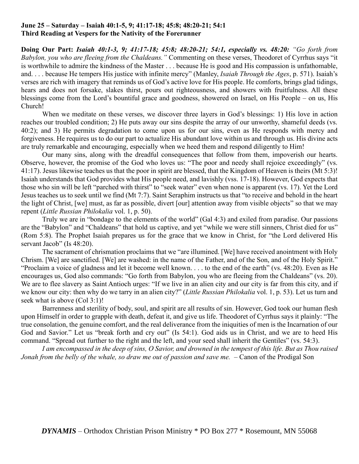### **June 25 – Saturday – Isaiah 40:1-5, 9; 41:17-18; 45:8; 48:20-21; 54:1 Third Reading at Vespers for the Nativity of the Forerunner**

**Doing Our Part:** *Isaiah 40:1-3, 9; 41:17-18; 45:8; 48:20-21; 54:1, especially vs. 48:20: "Go forth from Babylon, you who are fleeing from the Chaldeans."* Commenting on these verses, Theodoret of Cyrrhus says "it is worthwhile to admire the kindness of the Master . . . because He is good and His compassion is unfathomable, and. . . . because He tempers His justice with infinite mercy" (Manley, *Isaiah Through the Ages*, p. 571). Isaiah's verses are rich with imagery that reminds us of God's active love for His people. He comforts, brings glad tidings, hears and does not forsake, slakes thirst, pours out righteousness, and showers with fruitfulness. All these blessings come from the Lord's bountiful grace and goodness, showered on Israel, on His People – on us, His Church!

When we meditate on these verses, we discover three layers in God's blessings: 1) His love in action reaches our troubled condition; 2) He puts away our sins despite the array of our unworthy, shameful deeds (vs. 40:2); and 3) He permits degradation to come upon us for our sins, even as He responds with mercy and forgiveness. He requires us to do our part to actualize His abundant love within us and through us. His divine acts are truly remarkable and encouraging, especially when we heed them and respond diligently to Him!

Our many sins, along with the dreadful consequences that follow from them, impoverish our hearts. Observe, however, the promise of the God who loves us: "The poor and needy shall rejoice exceedingly" (vs. 41:17). Jesus likewise teaches us that the poor in spirit are blessed, that the Kingdom of Heaven is theirs (Mt 5:3)! Isaiah understands that God provides what His people need, and lavishly (vss. 17-18). However, God expects that those who sin will be left "parched with thirst" to "seek water" even when none is apparent (vs. 17). Yet the Lord Jesus teaches us to seek until we find (Mt 7:7). Saint Seraphim instructs us that "to receive and behold in the heart the light of Christ, [we] must, as far as possible, divert [our] attention away from visible objects" so that we may repent (*Little Russian Philokalia* vol. 1, p. 50).

Truly we are in "bondage to the elements of the world" (Gal 4:3) and exiled from paradise. Our passions are the "Babylon" and "Chaldeans" that hold us captive, and yet "while we were still sinners, Christ died for us" (Rom 5:8). The Prophet Isaiah prepares us for the grace that we know in Christ, for "the Lord delivered His servant Jacob" (Is 48:20).

The sacrament of chrismation proclaims that we "are illumined. [We] have received anointment with Holy Chrism. [We] are sanctified. [We] are washed: in the name of the Father, and of the Son, and of the Holy Spirit." "Proclaim a voice of gladness and let it become well known. . . . to the end of the earth" (vs. 48:20). Even as He encourages us, God also commands: "Go forth from Babylon, you who are fleeing from the Chaldeans" (vs. 20). We are to flee slavery as Saint Antioch urges: "If we live in an alien city and our city is far from this city, and if we know our city: then why do we tarry in an alien city?" (*Little Russian Philokalia* vol. 1, p. 53). Let us turn and seek what is above (Col 3:1)!

Barrenness and sterility of body, soul, and spirit are all results of sin. However, God took our human flesh upon Himself in order to grapple with death, defeat it, and give us life. Theodoret of Cyrrhus says it plainly: "The true consolation, the genuine comfort, and the real deliverance from the iniquities of men is the Incarnation of our God and Savior." Let us "break forth and cry out" (Is 54:1). God aids us in Christ, and we are to heed His command. "Spread out further to the right and the left, and your seed shall inherit the Gentiles" (vs. 54:3).

*I am encompassed in the deep of sins, O Savior, and drowned in the tempest of this life. But as Thou raised Jonah from the belly of the whale, so draw me out of passion and save me.* – Canon of the Prodigal Son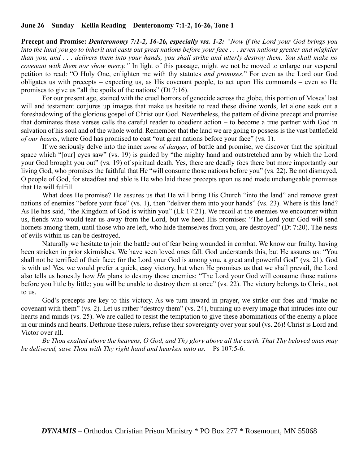## **June 26 – Sunday – Kellia Reading – Deuteronomy 7:1-2, 16-26, Tone 1**

**Precept and Promise:** *Deuteronomy 7:1-2, 16-26, especially vss. 1-2: "Now if the Lord your God brings you into the land you go to inherit and casts out great nations before your face . . . seven nations greater and mightier than you, and . . . delivers them into your hands, you shall strike and utterly destroy them. You shall make no covenant with them nor show mercy."* In light of this passage, might we not be moved to enlarge our vesperal petition to read: "O Holy One, enlighten me with thy statutes *and promises*." For even as the Lord our God obligates us with precepts – expecting us, as His covenant people, to act upon His commands – even so He promises to give us "all the spoils of the nations" (Dt 7:16).

For our present age, stained with the cruel horrors of genocide across the globe, this portion of Moses' last will and testament conjures up images that make us hesitate to read these divine words, let alone seek out a foreshadowing of the glorious gospel of Christ our God. Nevertheless, the pattern of divine precept and promise that dominates these verses calls the careful reader to obedient action – to become a true partner with God in salvation of his soul and of the whole world. Remember that the land we are going to possess is the vast battlefield *of our hearts*, where God has promised to cast "out great nations before your face" (vs. 1).

If we seriously delve into the inner *zone of danger*, of battle and promise, we discover that the spiritual space which "[our] eyes saw" (vs. 19) is guided by "the mighty hand and outstretched arm by which the Lord your God brought you out" (vs. 19) of spiritual death. Yes, there are deadly foes there but more importantly our living God, who promises the faithful that He "will consume those nations before you" (vs. 22). Be not dismayed, O people of God, for steadfast and able is He who laid these precepts upon us and made unchangeable promises that He will fulfill.

What does He promise? He assures us that He will bring His Church "into the land" and remove great nations of enemies "before your face" (vs. 1), then "deliver them into your hands" (vs. 23). Where is this land? As He has said, "the Kingdom of God is within you" (Lk 17:21). We recoil at the enemies we encounter within us, fiends who would tear us away from the Lord, but we heed His promises: "The Lord your God will send hornets among them, until those who are left, who hide themselves from you, are destroyed" (Dt 7:20). The nests of evils within us can be destroyed.

Naturally we hesitate to join the battle out of fear being wounded in combat. We know our frailty, having been stricken in prior skirmishes. We have seen loved ones fall. God understands this, but He assures us: "You shall not be terrified of their face; for the Lord your God is among you, a great and powerful God" (vs. 21). God is with us! Yes, we would prefer a quick, easy victory, but when He promises us that we shall prevail, the Lord also tells us honestly how *He* plans to destroy those enemies: "The Lord your God will consume those nations before you little by little; you will be unable to destroy them at once" (vs. 22). The victory belongs to Christ, not to us.

God's precepts are key to this victory. As we turn inward in prayer, we strike our foes and "make no covenant with them" (vs. 2). Let us rather "destroy them" (vs. 24), burning up every image that intrudes into our hearts and minds (vs. 25). We are called to resist the temptation to give these abominations of the enemy a place in our minds and hearts. Dethrone these rulers, refuse their sovereignty over your soul (vs. 26)! Christ is Lord and Victor over all.

*Be Thou exalted above the heavens, O God, and Thy glory above all the earth. That Thy beloved ones may be delivered, save Thou with Thy right hand and hearken unto us.* – Ps 107:5-6.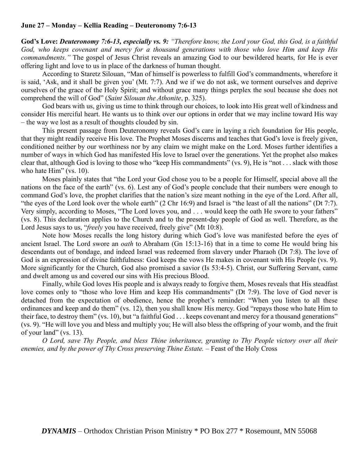### **June 27 – Monday – Kellia Reading – Deuteronomy 7:6-13**

**God's Love:** *Deuteronomy 7:6-13, especially vs. 9: "Therefore know, the Lord your God, this God, is a faithful God, who keeps covenant and mercy for a thousand generations with those who love Him and keep His commandments."* The gospel of Jesus Christ reveals an amazing God to our bewildered hearts, for He is ever offering light and love to us in place of the darkness of human thought.

According to Staretz Silouan, "Man of himself is powerless to fulfill God's commandments, wherefore it is said, 'Ask, and it shall be given you' (Mt. 7:7). And we if we do not ask, we torment ourselves and deprive ourselves of the grace of the Holy Spirit; and without grace many things perplex the soul because she does not comprehend the will of God" (*Saint Silouan the Athonite*, p. 325).

God bears with us, giving us time to think through our choices, to look into His great well of kindness and consider His merciful heart. He wants us to think over our options in order that we may incline toward His way – the way we lost as a result of thoughts clouded by sin.

This present passage from Deuteronomy reveals God's care in laying a rich foundation for His people, that they might readily receive His love. The Prophet Moses discerns and teaches that God's love is freely given, conditioned neither by our worthiness nor by any claim we might make on the Lord. Moses further identifies a number of ways in which God has manifested His love to Israel over the generations. Yet the prophet also makes clear that, although God is loving to those who "keep His commandments" (vs. 9), He is "not . . . slack with those who hate Him" (vs. 10).

Moses plainly states that "the Lord your God chose you to be a people for Himself, special above all the nations on the face of the earth" (vs. 6). Lest any of God's people conclude that their numbers were enough to command God's love, the prophet clarifies that the nation's size meant nothing in the eye of the Lord. After all, "the eyes of the Lord look over the whole earth" (2 Chr 16:9) and Israel is "the least of all the nations" (Dt 7:7). Very simply, according to Moses, "The Lord loves you, and . . . would keep the oath He swore to your fathers" (vs. 8). This declaration applies to the Church and to the present-day people of God as well. Therefore, as the Lord Jesus says to us, "*freely* you have received, freely give" (Mt 10:8).

Note how Moses recalls the long history during which God's love was manifested before the eyes of ancient Israel. The Lord swore an *oath* to Abraham (Gn 15:13-16) that in a time to come He would bring his descendants out of bondage, and indeed Israel was redeemed from slavery under Pharaoh (Dt 7:8). The love of God is an expression of divine faithfulness: God keeps the vows He makes in covenant with His People (vs. 9). More significantly for the Church, God also promised a savior (Is 53:4-5). Christ, our Suffering Servant, came and dwelt among us and covered our sins with His precious Blood.

Finally, while God loves His people and is always ready to forgive them, Moses reveals that His steadfast love comes only to "those who love Him and keep His commandments" (Dt 7:9). The love of God never is detached from the expectation of obedience, hence the prophet's reminder: "When you listen to all these ordinances and keep and do them" (vs. 12), then you shall know His mercy. God "repays those who hate Him to their face, to destroy them" (vs. 10), but "a faithful God . . . keeps covenant and mercy for a thousand generations" (vs. 9). "He will love you and bless and multiply you; He will also bless the offspring of your womb, and the fruit of your land" (vs. 13).

*O Lord, save Thy People, and bless Thine inheritance, granting to Thy People victory over all their enemies, and by the power of Thy Cross preserving Thine Estate.* – Feast of the Holy Cross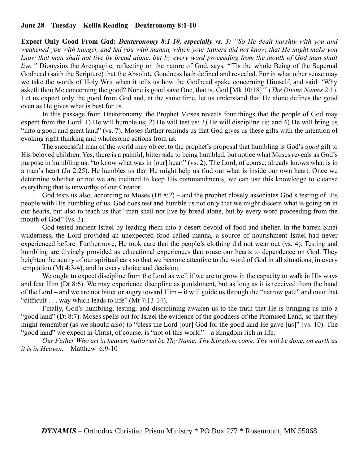## **June 28 – Tuesday – Kellia Reading – Deuteronomy 8:1-10**

**Expect Only Good From God:** *Deuteronomy 8:1-10, especially vs. 3: "So He dealt harshly with you and weakened you with hunger, and fed you with manna, which your fathers did not know, that He might make you know that man shall not live by bread alone, but by every word proceeding from the mouth of God man shall live.*" Dionysios the Areopagite, reflecting on the nature of God, says, "Tis the whole Being of the Supernal Godhead (saith the Scripture) that the Absolute Goodness hath defined and revealed. For in what other sense may we take the words of Holy Writ when it tells us how the Godhead spake concerning Himself, and said: 'Why asketh thou Me concerning the good? None is good save One, that is, God [Mk 10:18]'" (*The Divine Names* 2:1). Let us expect only the good from God and, at the same time, let us understand that He alone defines the good even as He gives what is best for us.

In this passage from Deuteronomy, the Prophet Moses reveals four things that the people of God may expect from the Lord: 1) He will humble us; 2) He will test us; 3) He will discipline us; and 4) He will bring us "into a good and great land" (vs. 7). Moses further reminds us that God gives us these gifts with the intention of evoking right thinking and wholesome actions from us.

The successful man of the world may object to the prophet's proposal that humbling is God's *good* gift to His beloved children. Yes, there is a painful, bitter side to being humbled, but notice what Moses reveals as God's purpose in humbling us: "to know what was in [our] heart" (vs. 2). The Lord, of course, already knows what is in a man's heart (Jn 2:25). He humbles us that He might help us find out what is inside our own heart. Once we determine whether or not we are inclined to keep His commandments, we can use this knowledge to cleanse everything that is unworthy of our Creator.

God tests us also, according to Moses (Dt 8:2) – and the prophet closely associates God's testing of His people with His humbling of us. God does test and humble us not only that we might discern what is going on in our hearts, but also to teach us that "man shall not live by bread alone, but by every word proceeding from the mouth of God" (vs. 3).

God tested ancient Israel by leading them into a desert devoid of food and shelter. In the barren Sinai wilderness, the Lord provided an unexpected food called manna, a source of nourishment Israel had never experienced before. Furthermore, He took care that the people's clothing did not wear out (vs. 4). Testing and humbling are divinely provided as educational experiences that rouse our hearts to dependence on God. They heighten the acuity of our spiritual ears so that we become attentive to the word of God in all situations, in every temptation (Mt 4:3-4), and in every choice and decision.

We ought to expect discipline from the Lord as well if we are to grow in the capacity to walk in His ways and fear Him (Dt 8:6). We may experience discipline as punishment, but as long as it is received from the hand of the Lord – and we are not bitter or angry toward Him – it will guide us through the "narrow gate" and onto that "difficult . . . way which leads to life" (Mt 7:13-14).

Finally, God's humbling, testing, and disciplining awaken us to the truth that He is bringing us into a "good land" (Dt 8:7). Moses spells out for Israel the evidence of the goodness of the Promised Land, so that they might remember (as we should also) to "bless the Lord [our] God for the good land He gave [us]" (vs. 10). The "good land" we expect in Christ, of course, is "not of this world" – a Kingdom rich in life.

*Our Father Who art in heaven, hallowed be Thy Name: Thy Kingdom come. Thy will be done, on earth as it is in Heaven.* – Matthew 6:9-10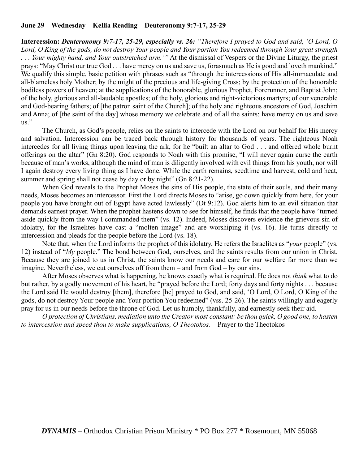# **June 29 – Wednesday – Kellia Reading – Deuteronomy 9:7-17, 25-29**

**Intercession:** *Deuteronomy 9:7-17, 25-29, especially vs. 26: "Therefore I prayed to God and said, 'O Lord, O Lord, O King of the gods, do not destroy Your people and Your portion You redeemed through Your great strength . . . Your mighty hand, and Your outstretched arm.'"* At the dismissal of Vespers or the Divine Liturgy, the priest prays: "May Christ our true God . . . have mercy on us and save us, forasmuch as He is good and loveth mankind." We qualify this simple, basic petition with phrases such as "through the intercessions of His all-immaculate and all-blameless holy Mother; by the might of the precious and life-giving Cross; by the protection of the honorable bodiless powers of heaven; at the supplications of the honorable, glorious Prophet, Forerunner, and Baptist John; of the holy, glorious and all-laudable apostles; of the holy, glorious and right-victorious martyrs; of our venerable and God-bearing fathers; of [the patron saint of the Church]; of the holy and righteous ancestors of God, Joachim and Anna; of [the saint of the day] whose memory we celebrate and of all the saints: have mercy on us and save us."

The Church, as God's people, relies on the saints to intercede with the Lord on our behalf for His mercy and salvation. Intercession can be traced back through history for thousands of years. The righteous Noah intercedes for all living things upon leaving the ark, for he "built an altar to God . . . and offered whole burnt offerings on the altar" (Gn 8:20). God responds to Noah with this promise, "I will never again curse the earth because of man's works, although the mind of man is diligently involved with evil things from his youth, nor will I again destroy every living thing as I have done. While the earth remains, seedtime and harvest, cold and heat, summer and spring shall not cease by day or by night" (Gn 8:21-22).

When God reveals to the Prophet Moses the sins of His people, the state of their souls, and their many needs, Moses becomes an intercessor. First the Lord directs Moses to "arise, go down quickly from here, for your people you have brought out of Egypt have acted lawlessly" (Dt 9:12). God alerts him to an evil situation that demands earnest prayer. When the prophet hastens down to see for himself, he finds that the people have "turned aside quickly from the way I commanded them" (vs. 12). Indeed, Moses discovers evidence the grievous sin of idolatry, for the Israelites have cast a "molten image" and are worshiping it (vs. 16). He turns directly to intercession and pleads for the people before the Lord (vs. 18).

Note that, when the Lord informs the prophet of this idolatry, He refers the Israelites as "*your* people" (vs. 12) instead of "*My* people." The bond between God, ourselves, and the saints results from our union in Christ. Because they are joined to us in Christ, the saints know our needs and care for our welfare far more than we imagine. Nevertheless, we cut ourselves off from them – and from God – by our sins.

After Moses observes what is happening, he knows exactly what is required. He does not *think* what to do but rather, by a godly movement of his heart, he "prayed before the Lord; forty days and forty nights . . . because the Lord said He would destroy [them], therefore [he] prayed to God, and said, 'O Lord, O Lord, O King of the gods, do not destroy Your people and Your portion You redeemed" (vss. 25-26). The saints willingly and eagerly pray for us in our needs before the throne of God. Let us humbly, thankfully, and earnestly seek their aid.

*O protection of Christians, mediation unto the Creator most constant: be thou quick, O good one, to hasten to intercession and speed thou to make supplications, O Theotokos.* – Prayer to the Theotokos